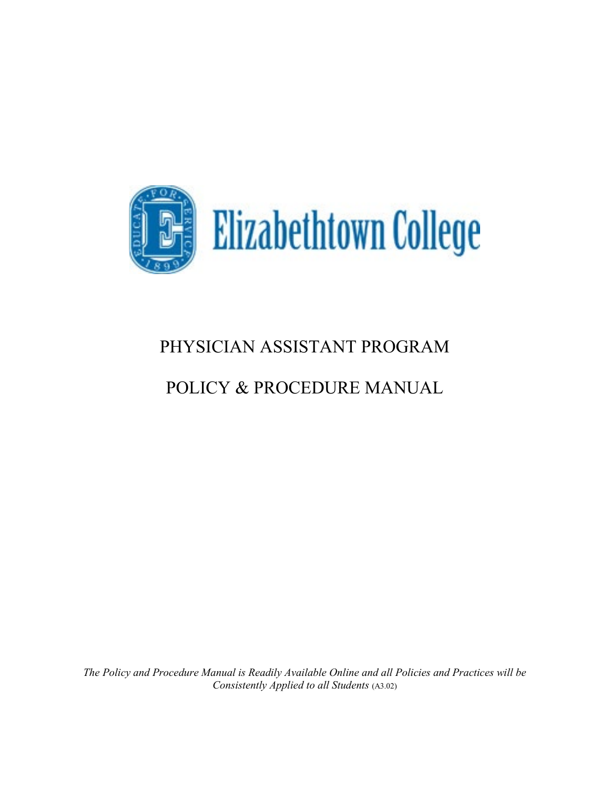

# PHYSICIAN ASSISTANT PROGRAM

# POLICY & PROCEDURE MANUAL

*The Policy and Procedure Manual is Readily Available Online and all Policies and Practices will be Consistently Applied to all Students* (A3.02)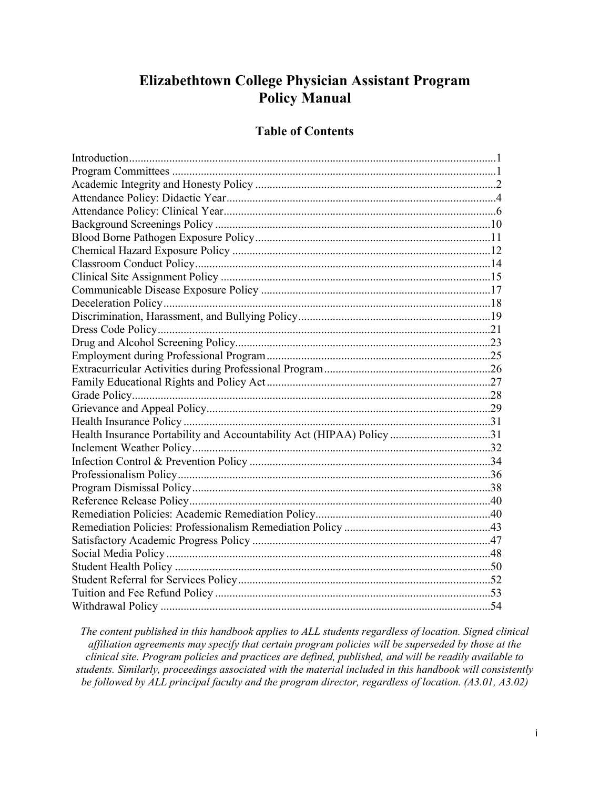# **Elizabethtown College Physician Assistant Program Policy Manual**

# **Table of Contents**

| Health Insurance Portability and Accountability Act (HIPAA) Policy 31 |  |
|-----------------------------------------------------------------------|--|
|                                                                       |  |
|                                                                       |  |
|                                                                       |  |
|                                                                       |  |
|                                                                       |  |
|                                                                       |  |
|                                                                       |  |
|                                                                       |  |
|                                                                       |  |
|                                                                       |  |
|                                                                       |  |
|                                                                       |  |
|                                                                       |  |

*The content published in this handbook applies to ALL students regardless of location. Signed clinical affiliation agreements may specify that certain program policies will be superseded by those at the clinical site. Program policies and practices are defined, published, and will be readily available to students. Similarly, proceedings associated with the material included in this handbook will consistently be followed by ALL principal faculty and the program director, regardless of location. (A3.01, A3.02)*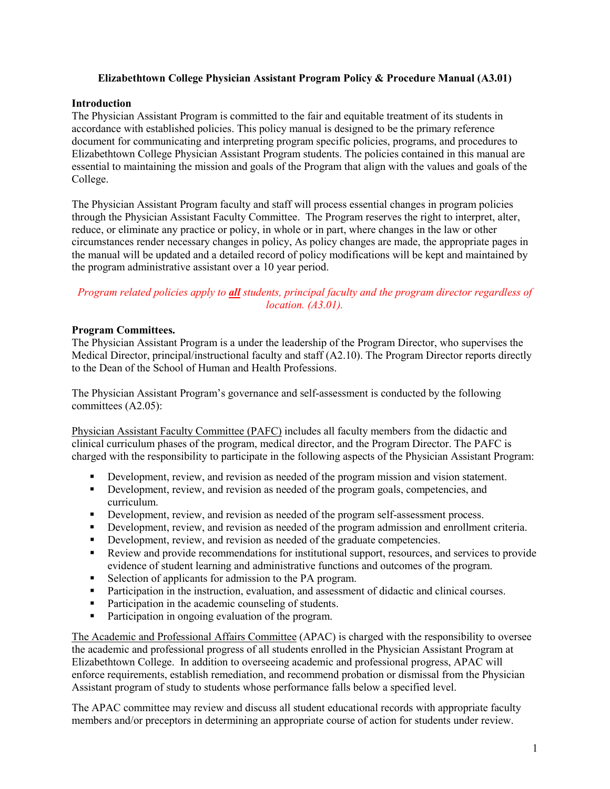# **Elizabethtown College Physician Assistant Program Policy & Procedure Manual (A3.01)**

# **Introduction**

The Physician Assistant Program is committed to the fair and equitable treatment of its students in accordance with established policies. This policy manual is designed to be the primary reference document for communicating and interpreting program specific policies, programs, and procedures to Elizabethtown College Physician Assistant Program students. The policies contained in this manual are essential to maintaining the mission and goals of the Program that align with the values and goals of the College.

The Physician Assistant Program faculty and staff will process essential changes in program policies through the Physician Assistant Faculty Committee. The Program reserves the right to interpret, alter, reduce, or eliminate any practice or policy, in whole or in part, where changes in the law or other circumstances render necessary changes in policy, As policy changes are made, the appropriate pages in the manual will be updated and a detailed record of policy modifications will be kept and maintained by the program administrative assistant over a 10 year period.

# *Program related policies apply to all students, principal faculty and the program director regardless of location. (A3.01).*

# **Program Committees.**

The Physician Assistant Program is a under the leadership of the Program Director, who supervises the Medical Director, principal/instructional faculty and staff (A2.10). The Program Director reports directly to the Dean of the School of Human and Health Professions.

The Physician Assistant Program's governance and self-assessment is conducted by the following committees (A2.05):

Physician Assistant Faculty Committee (PAFC) includes all faculty members from the didactic and clinical curriculum phases of the program, medical director, and the Program Director. The PAFC is charged with the responsibility to participate in the following aspects of the Physician Assistant Program:

- Development, review, and revision as needed of the program mission and vision statement.
- Development, review, and revision as needed of the program goals, competencies, and curriculum.
- Development, review, and revision as needed of the program self-assessment process.
- Development, review, and revision as needed of the program admission and enrollment criteria.
- Development, review, and revision as needed of the graduate competencies.
- Review and provide recommendations for institutional support, resources, and services to provide evidence of student learning and administrative functions and outcomes of the program.
- Selection of applicants for admission to the PA program.
- **Participation in the instruction, evaluation, and assessment of didactic and clinical courses.**
- **Participation in the academic counseling of students.**
- **Participation in ongoing evaluation of the program.**

The Academic and Professional Affairs Committee (APAC) is charged with the responsibility to oversee the academic and professional progress of all students enrolled in the Physician Assistant Program at Elizabethtown College. In addition to overseeing academic and professional progress, APAC will enforce requirements, establish remediation, and recommend probation or dismissal from the Physician Assistant program of study to students whose performance falls below a specified level.

The APAC committee may review and discuss all student educational records with appropriate faculty members and/or preceptors in determining an appropriate course of action for students under review.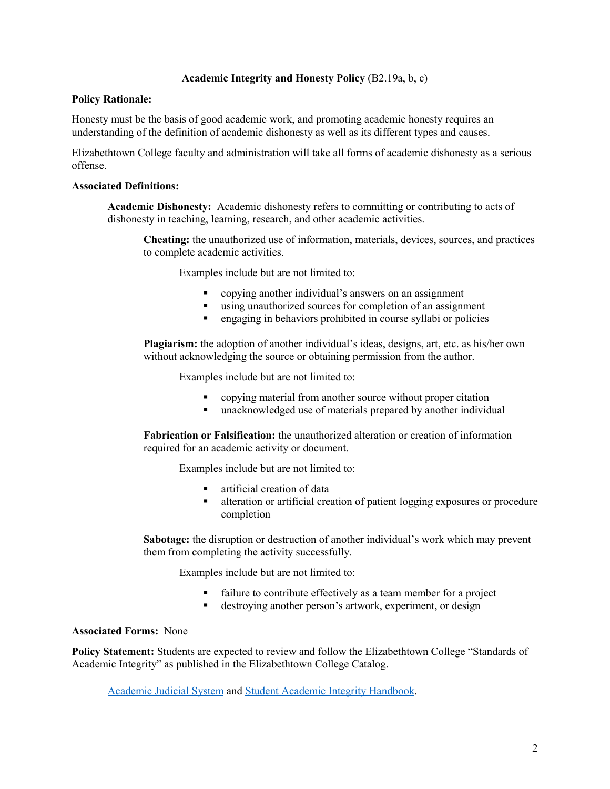# **Academic Integrity and Honesty Policy** (B2.19a, b, c)

#### **Policy Rationale:**

Honesty must be the basis of good academic work, and promoting academic honesty requires an understanding of the definition of academic dishonesty as well as its different types and causes.

Elizabethtown College faculty and administration will take all forms of academic dishonesty as a serious offense.

# **Associated Definitions:**

**Academic Dishonesty:** Academic dishonesty refers to committing or contributing to acts of dishonesty in teaching, learning, research, and other academic activities.

**Cheating:** the unauthorized use of information, materials, devices, sources, and practices to complete academic activities.

Examples include but are not limited to:

- copying another individual's answers on an assignment
- using unauthorized sources for completion of an assignment
- engaging in behaviors prohibited in course syllabi or policies

**Plagiarism:** the adoption of another individual's ideas, designs, art, etc. as his/her own without acknowledging the source or obtaining permission from the author.

Examples include but are not limited to:

- copying material from another source without proper citation
- unacknowledged use of materials prepared by another individual

**Fabrication or Falsification:** the unauthorized alteration or creation of information required for an academic activity or document.

Examples include but are not limited to:

- artificial creation of data
- alteration or artificial creation of patient logging exposures or procedure completion

**Sabotage:** the disruption or destruction of another individual's work which may prevent them from completing the activity successfully.

Examples include but are not limited to:

- failure to contribute effectively as a team member for a project
- destroying another person's artwork, experiment, or design

#### **Associated Forms:** None

**Policy Statement:** Students are expected to review and follow the Elizabethtown College "Standards of Academic Integrity" as published in the Elizabethtown College Catalog.

[Academic Judicial System](http://catalog.etown.edu/content.php?catoid=12&navoid=610%23Academic_Judicial_System) and [Student Academic Integrity Handbook.](https://www.etown.edu/offices/dean-ofstudents/files/academic-integrity-handbook.pdf)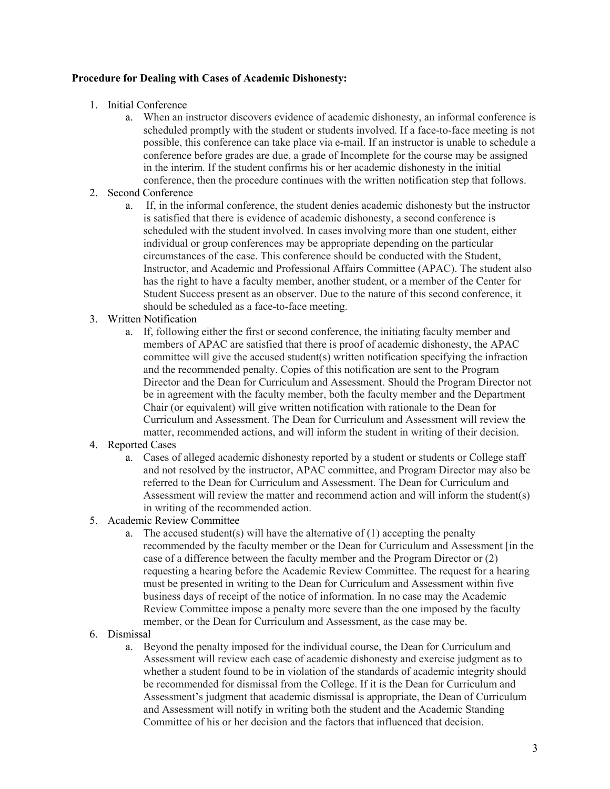# **Procedure for Dealing with Cases of Academic Dishonesty:**

- 1. Initial Conference
	- a. When an instructor discovers evidence of academic dishonesty, an informal conference is scheduled promptly with the student or students involved. If a face-to-face meeting is not possible, this conference can take place via e-mail. If an instructor is unable to schedule a conference before grades are due, a grade of Incomplete for the course may be assigned in the interim. If the student confirms his or her academic dishonesty in the initial conference, then the procedure continues with the written notification step that follows.
- 2. Second Conference
	- a. If, in the informal conference, the student denies academic dishonesty but the instructor is satisfied that there is evidence of academic dishonesty, a second conference is scheduled with the student involved. In cases involving more than one student, either individual or group conferences may be appropriate depending on the particular circumstances of the case. This conference should be conducted with the Student, Instructor, and Academic and Professional Affairs Committee (APAC). The student also has the right to have a faculty member, another student, or a member of the Center for Student Success present as an observer. Due to the nature of this second conference, it should be scheduled as a face-to-face meeting.
- 3. Written Notification
	- a. If, following either the first or second conference, the initiating faculty member and members of APAC are satisfied that there is proof of academic dishonesty, the APAC committee will give the accused student(s) written notification specifying the infraction and the recommended penalty. Copies of this notification are sent to the Program Director and the Dean for Curriculum and Assessment. Should the Program Director not be in agreement with the faculty member, both the faculty member and the Department Chair (or equivalent) will give written notification with rationale to the Dean for Curriculum and Assessment. The Dean for Curriculum and Assessment will review the matter, recommended actions, and will inform the student in writing of their decision.
- 4. Reported Cases
	- a. Cases of alleged academic dishonesty reported by a student or students or College staff and not resolved by the instructor, APAC committee, and Program Director may also be referred to the Dean for Curriculum and Assessment. The Dean for Curriculum and Assessment will review the matter and recommend action and will inform the student(s) in writing of the recommended action.
- 5. Academic Review Committee
	- a. The accused student(s) will have the alternative of  $(1)$  accepting the penalty recommended by the faculty member or the Dean for Curriculum and Assessment [in the case of a difference between the faculty member and the Program Director or (2) requesting a hearing before the Academic Review Committee. The request for a hearing must be presented in writing to the Dean for Curriculum and Assessment within five business days of receipt of the notice of information. In no case may the Academic Review Committee impose a penalty more severe than the one imposed by the faculty member, or the Dean for Curriculum and Assessment, as the case may be.
- 6. Dismissal
	- a. Beyond the penalty imposed for the individual course, the Dean for Curriculum and Assessment will review each case of academic dishonesty and exercise judgment as to whether a student found to be in violation of the standards of academic integrity should be recommended for dismissal from the College. If it is the Dean for Curriculum and Assessment's judgment that academic dismissal is appropriate, the Dean of Curriculum and Assessment will notify in writing both the student and the Academic Standing Committee of his or her decision and the factors that influenced that decision.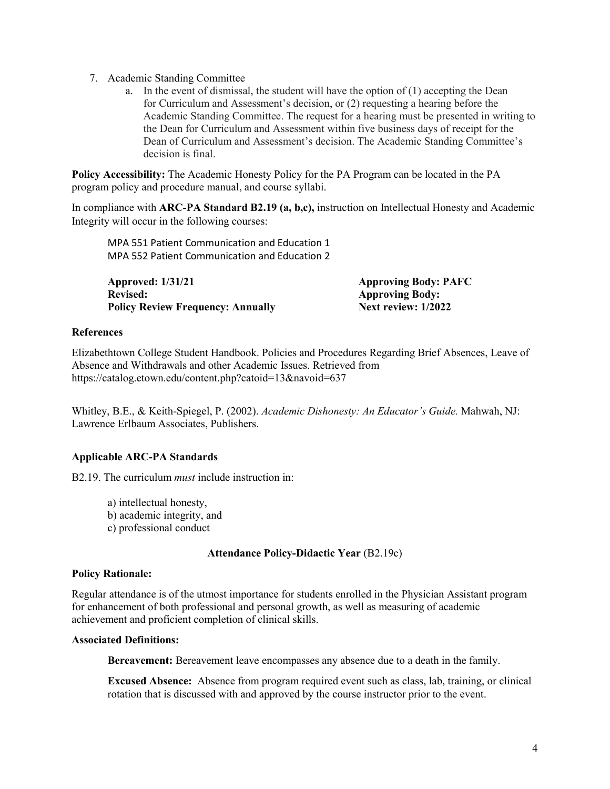- 7. Academic Standing Committee
	- a. In the event of dismissal, the student will have the option of (1) accepting the Dean for Curriculum and Assessment's decision, or (2) requesting a hearing before the Academic Standing Committee. The request for a hearing must be presented in writing to the Dean for Curriculum and Assessment within five business days of receipt for the Dean of Curriculum and Assessment's decision. The Academic Standing Committee's decision is final.

**Policy Accessibility:** The Academic Honesty Policy for the PA Program can be located in the PA program policy and procedure manual, and course syllabi.

In compliance with **ARC-PA Standard B2.19 (a, b,c),** instruction on Intellectual Honesty and Academic Integrity will occur in the following courses:

MPA 551 Patient Communication and Education 1 MPA 552 Patient Communication and Education 2

**Approved: 1/31/21 Approving Body: PAFC Revised: Approving Body: Policy Review Frequency: Annually** 

# **References**

Elizabethtown College Student Handbook. Policies and Procedures Regarding Brief Absences, Leave of Absence and Withdrawals and other Academic Issues. Retrieved from https://catalog.etown.edu/content.php?catoid=13&navoid=637

Whitley, B.E., & Keith-Spiegel, P. (2002). *Academic Dishonesty: An Educator's Guide.* Mahwah, NJ: Lawrence Erlbaum Associates, Publishers.

# **Applicable ARC-PA Standards**

B2.19. The curriculum *must* include instruction in:

a) intellectual honesty, b) academic integrity, and c) professional conduct

# **Attendance Policy-Didactic Year** (B2.19c)

# **Policy Rationale:**

Regular attendance is of the utmost importance for students enrolled in the Physician Assistant program for enhancement of both professional and personal growth, as well as measuring of academic achievement and proficient completion of clinical skills.

# **Associated Definitions:**

**Bereavement:** Bereavement leave encompasses any absence due to a death in the family.

**Excused Absence:** Absence from program required event such as class, lab, training, or clinical rotation that is discussed with and approved by the course instructor prior to the event.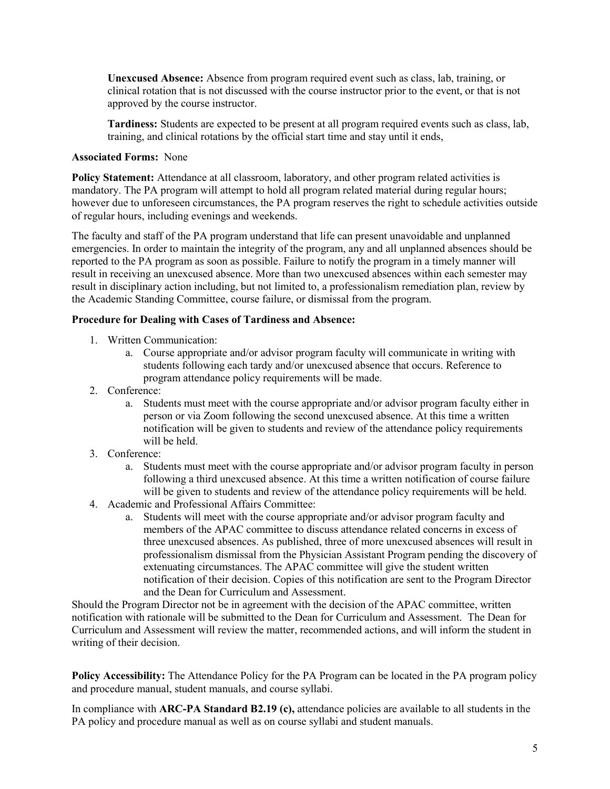**Unexcused Absence:** Absence from program required event such as class, lab, training, or clinical rotation that is not discussed with the course instructor prior to the event, or that is not approved by the course instructor.

**Tardiness:** Students are expected to be present at all program required events such as class, lab, training, and clinical rotations by the official start time and stay until it ends,

# **Associated Forms:** None

**Policy Statement:** Attendance at all classroom, laboratory, and other program related activities is mandatory. The PA program will attempt to hold all program related material during regular hours; however due to unforeseen circumstances, the PA program reserves the right to schedule activities outside of regular hours, including evenings and weekends.

The faculty and staff of the PA program understand that life can present unavoidable and unplanned emergencies. In order to maintain the integrity of the program, any and all unplanned absences should be reported to the PA program as soon as possible. Failure to notify the program in a timely manner will result in receiving an unexcused absence. More than two unexcused absences within each semester may result in disciplinary action including, but not limited to, a professionalism remediation plan, review by the Academic Standing Committee, course failure, or dismissal from the program.

# **Procedure for Dealing with Cases of Tardiness and Absence:**

- 1. Written Communication:
	- a. Course appropriate and/or advisor program faculty will communicate in writing with students following each tardy and/or unexcused absence that occurs. Reference to program attendance policy requirements will be made.
- 2. Conference:
	- a. Students must meet with the course appropriate and/or advisor program faculty either in person or via Zoom following the second unexcused absence. At this time a written notification will be given to students and review of the attendance policy requirements will be held.
- 3. Conference:
	- a. Students must meet with the course appropriate and/or advisor program faculty in person following a third unexcused absence. At this time a written notification of course failure will be given to students and review of the attendance policy requirements will be held.
- 4. Academic and Professional Affairs Committee:
	- a. Students will meet with the course appropriate and/or advisor program faculty and members of the APAC committee to discuss attendance related concerns in excess of three unexcused absences. As published, three of more unexcused absences will result in professionalism dismissal from the Physician Assistant Program pending the discovery of extenuating circumstances. The APAC committee will give the student written notification of their decision. Copies of this notification are sent to the Program Director and the Dean for Curriculum and Assessment.

Should the Program Director not be in agreement with the decision of the APAC committee, written notification with rationale will be submitted to the Dean for Curriculum and Assessment. The Dean for Curriculum and Assessment will review the matter, recommended actions, and will inform the student in writing of their decision.

**Policy Accessibility:** The Attendance Policy for the PA Program can be located in the PA program policy and procedure manual, student manuals, and course syllabi.

In compliance with **ARC-PA Standard B2.19 (c),** attendance policies are available to all students in the PA policy and procedure manual as well as on course syllabi and student manuals.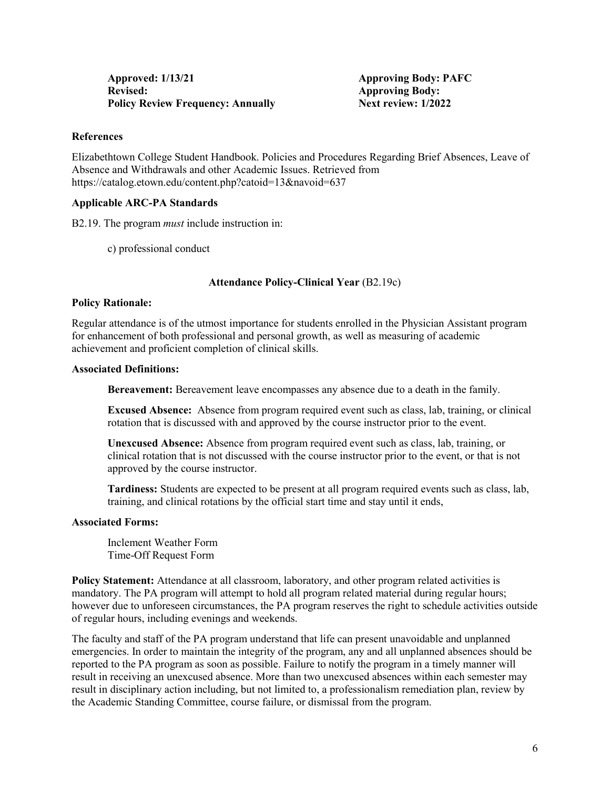# **References**

Elizabethtown College Student Handbook. Policies and Procedures Regarding Brief Absences, Leave of Absence and Withdrawals and other Academic Issues. Retrieved from https://catalog.etown.edu/content.php?catoid=13&navoid=637

# **Applicable ARC-PA Standards**

B2.19. The program *must* include instruction in:

c) professional conduct

# **Attendance Policy-Clinical Year** (B2.19c)

# **Policy Rationale:**

Regular attendance is of the utmost importance for students enrolled in the Physician Assistant program for enhancement of both professional and personal growth, as well as measuring of academic achievement and proficient completion of clinical skills.

# **Associated Definitions:**

**Bereavement:** Bereavement leave encompasses any absence due to a death in the family.

**Excused Absence:** Absence from program required event such as class, lab, training, or clinical rotation that is discussed with and approved by the course instructor prior to the event.

**Unexcused Absence:** Absence from program required event such as class, lab, training, or clinical rotation that is not discussed with the course instructor prior to the event, or that is not approved by the course instructor.

**Tardiness:** Students are expected to be present at all program required events such as class, lab, training, and clinical rotations by the official start time and stay until it ends,

# **Associated Forms:**

Inclement Weather Form Time-Off Request Form

**Policy Statement:** Attendance at all classroom, laboratory, and other program related activities is mandatory. The PA program will attempt to hold all program related material during regular hours; however due to unforeseen circumstances, the PA program reserves the right to schedule activities outside of regular hours, including evenings and weekends.

The faculty and staff of the PA program understand that life can present unavoidable and unplanned emergencies. In order to maintain the integrity of the program, any and all unplanned absences should be reported to the PA program as soon as possible. Failure to notify the program in a timely manner will result in receiving an unexcused absence. More than two unexcused absences within each semester may result in disciplinary action including, but not limited to, a professionalism remediation plan, review by the Academic Standing Committee, course failure, or dismissal from the program.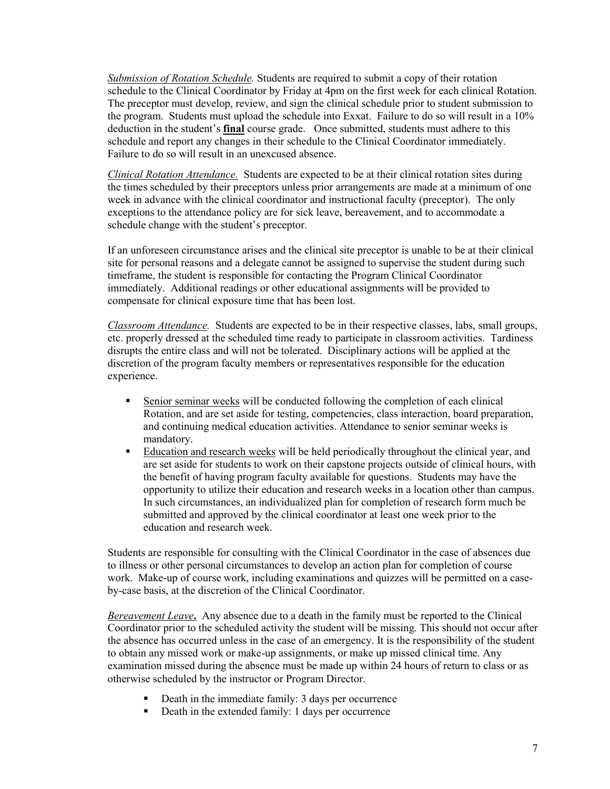*Submission of Rotation Schedule.* Students are required to submit a copy of their rotation schedule to the Clinical Coordinator by Friday at 4pm on the first week for each clinical Rotation. The preceptor must develop, review, and sign the clinical schedule prior to student submission to the program. Students must upload the schedule into Exxat. Failure to do so will result in a 10% deduction in the student's **final** course grade. Once submitted, students must adhere to this schedule and report any changes in their schedule to the Clinical Coordinator immediately. Failure to do so will result in an unexcused absence.

*Clinical Rotation Attendance.* Students are expected to be at their clinical rotation sites during the times scheduled by their preceptors unless prior arrangements are made at a minimum of one week in advance with the clinical coordinator and instructional faculty (preceptor). The only exceptions to the attendance policy are for sick leave, bereavement, and to accommodate a schedule change with the student's preceptor.

If an unforeseen circumstance arises and the clinical site preceptor is unable to be at their clinical site for personal reasons and a delegate cannot be assigned to supervise the student during such timeframe, the student is responsible for contacting the Program Clinical Coordinator immediately. Additional readings or other educational assignments will be provided to compensate for clinical exposure time that has been lost.

*Classroom Attendance.* Students are expected to be in their respective classes, labs, small groups, etc. properly dressed at the scheduled time ready to participate in classroom activities. Tardiness disrupts the entire class and will not be tolerated. Disciplinary actions will be applied at the discretion of the program faculty members or representatives responsible for the education experience.

- Senior seminar weeks will be conducted following the completion of each clinical Rotation, and are set aside for testing, competencies, class interaction, board preparation, and continuing medical education activities. Attendance to senior seminar weeks is mandatory.
- Education and research weeks will be held periodically throughout the clinical year, and are set aside for students to work on their capstone projects outside of clinical hours, with the benefit of having program faculty available for questions. Students may have the opportunity to utilize their education and research weeks in a location other than campus. In such circumstances, an individualized plan for completion of research form much be submitted and approved by the clinical coordinator at least one week prior to the education and research week.

Students are responsible for consulting with the Clinical Coordinator in the case of absences due to illness or other personal circumstances to develop an action plan for completion of course work. Make-up of course work, including examinations and quizzes will be permitted on a caseby-case basis, at the discretion of the Clinical Coordinator.

*Bereavement Leave***.** Any absence due to a death in the family must be reported to the Clinical Coordinator prior to the scheduled activity the student will be missing. This should not occur after the absence has occurred unless in the case of an emergency. It is the responsibility of the student to obtain any missed work or make-up assignments, or make up missed clinical time. Any examination missed during the absence must be made up within 24 hours of return to class or as otherwise scheduled by the instructor or Program Director.

- Death in the immediate family: 3 days per occurrence
- Death in the extended family: 1 days per occurrence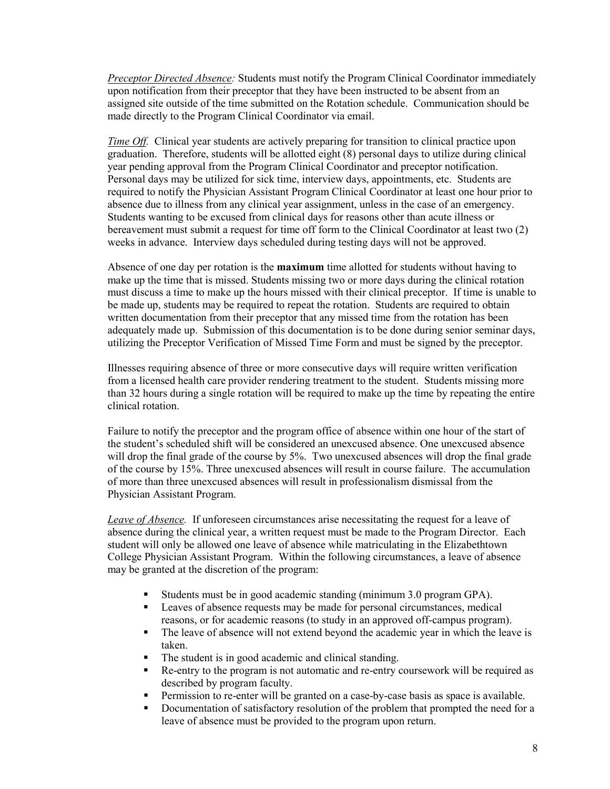*Preceptor Directed Absence:* Students must notify the Program Clinical Coordinator immediately upon notification from their preceptor that they have been instructed to be absent from an assigned site outside of the time submitted on the Rotation schedule. Communication should be made directly to the Program Clinical Coordinator via email.

*Time Off.* Clinical year students are actively preparing for transition to clinical practice upon graduation. Therefore, students will be allotted eight (8) personal days to utilize during clinical year pending approval from the Program Clinical Coordinator and preceptor notification. Personal days may be utilized for sick time, interview days, appointments, etc. Students are required to notify the Physician Assistant Program Clinical Coordinator at least one hour prior to absence due to illness from any clinical year assignment, unless in the case of an emergency. Students wanting to be excused from clinical days for reasons other than acute illness or bereavement must submit a request for time off form to the Clinical Coordinator at least two (2) weeks in advance. Interview days scheduled during testing days will not be approved.

Absence of one day per rotation is the **maximum** time allotted for students without having to make up the time that is missed. Students missing two or more days during the clinical rotation must discuss a time to make up the hours missed with their clinical preceptor. If time is unable to be made up, students may be required to repeat the rotation. Students are required to obtain written documentation from their preceptor that any missed time from the rotation has been adequately made up. Submission of this documentation is to be done during senior seminar days, utilizing the Preceptor Verification of Missed Time Form and must be signed by the preceptor.

Illnesses requiring absence of three or more consecutive days will require written verification from a licensed health care provider rendering treatment to the student. Students missing more than 32 hours during a single rotation will be required to make up the time by repeating the entire clinical rotation.

Failure to notify the preceptor and the program office of absence within one hour of the start of the student's scheduled shift will be considered an unexcused absence. One unexcused absence will drop the final grade of the course by 5%. Two unexcused absences will drop the final grade of the course by 15%. Three unexcused absences will result in course failure. The accumulation of more than three unexcused absences will result in professionalism dismissal from the Physician Assistant Program.

*Leave of Absence.*If unforeseen circumstances arise necessitating the request for a leave of absence during the clinical year, a written request must be made to the Program Director. Each student will only be allowed one leave of absence while matriculating in the Elizabethtown College Physician Assistant Program. Within the following circumstances, a leave of absence may be granted at the discretion of the program:

- Students must be in good academic standing (minimum 3.0 program GPA).
- **Leaves of absence requests may be made for personal circumstances, medical** reasons, or for academic reasons (to study in an approved off-campus program).
- The leave of absence will not extend beyond the academic year in which the leave is taken.
- The student is in good academic and clinical standing.<br>
Re-entry to the program is not automatic and re-entry of
- Re-entry to the program is not automatic and re-entry coursework will be required as described by program faculty.
- Permission to re-enter will be granted on a case-by-case basis as space is available.
- Documentation of satisfactory resolution of the problem that prompted the need for a leave of absence must be provided to the program upon return.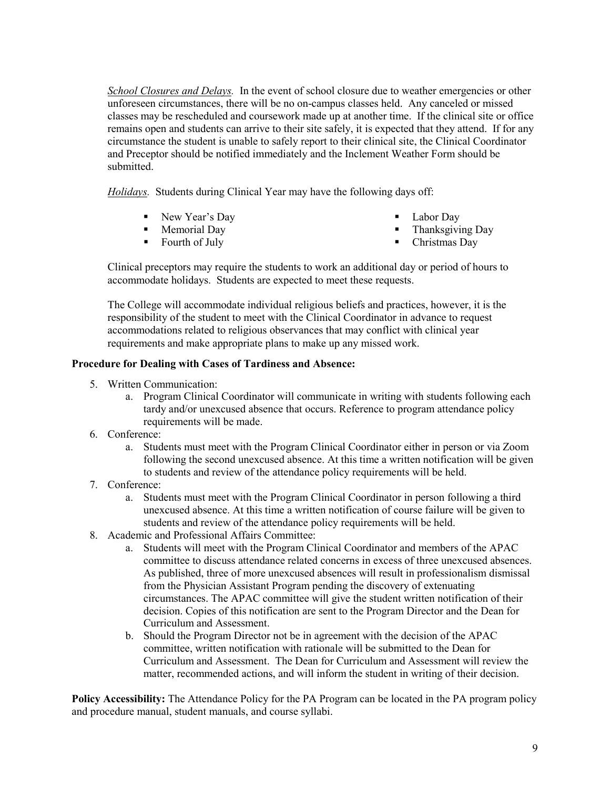*School Closures and Delays.* In the event of school closure due to weather emergencies or other unforeseen circumstances, there will be no on-campus classes held. Any canceled or missed classes may be rescheduled and coursework made up at another time. If the clinical site or office remains open and students can arrive to their site safely, it is expected that they attend. If for any circumstance the student is unable to safely report to their clinical site, the Clinical Coordinator and Preceptor should be notified immediately and the Inclement Weather Form should be submitted.

*Holidays.*Students during Clinical Year may have the following days off:

- New Year's Day
- Memorial Day
- Fourth of July
- Labor Day
- **Thanksgiving Day**
- Christmas Day

Clinical preceptors may require the students to work an additional day or period of hours to accommodate holidays. Students are expected to meet these requests.

The College will accommodate individual religious beliefs and practices, however, it is the responsibility of the student to meet with the Clinical Coordinator in advance to request accommodations related to religious observances that may conflict with clinical year requirements and make appropriate plans to make up any missed work.

# **Procedure for Dealing with Cases of Tardiness and Absence:**

- 5. Written Communication:
	- a. Program Clinical Coordinator will communicate in writing with students following each tardy and/or unexcused absence that occurs. Reference to program attendance policy requirements will be made.
- 6. Conference:
	- a. Students must meet with the Program Clinical Coordinator either in person or via Zoom following the second unexcused absence. At this time a written notification will be given to students and review of the attendance policy requirements will be held.
- 7. Conference:
	- a. Students must meet with the Program Clinical Coordinator in person following a third unexcused absence. At this time a written notification of course failure will be given to students and review of the attendance policy requirements will be held.
- 8. Academic and Professional Affairs Committee:
	- a. Students will meet with the Program Clinical Coordinator and members of the APAC committee to discuss attendance related concerns in excess of three unexcused absences. As published, three of more unexcused absences will result in professionalism dismissal from the Physician Assistant Program pending the discovery of extenuating circumstances. The APAC committee will give the student written notification of their decision. Copies of this notification are sent to the Program Director and the Dean for Curriculum and Assessment.
	- b. Should the Program Director not be in agreement with the decision of the APAC committee, written notification with rationale will be submitted to the Dean for Curriculum and Assessment. The Dean for Curriculum and Assessment will review the matter, recommended actions, and will inform the student in writing of their decision.

**Policy Accessibility:** The Attendance Policy for the PA Program can be located in the PA program policy and procedure manual, student manuals, and course syllabi.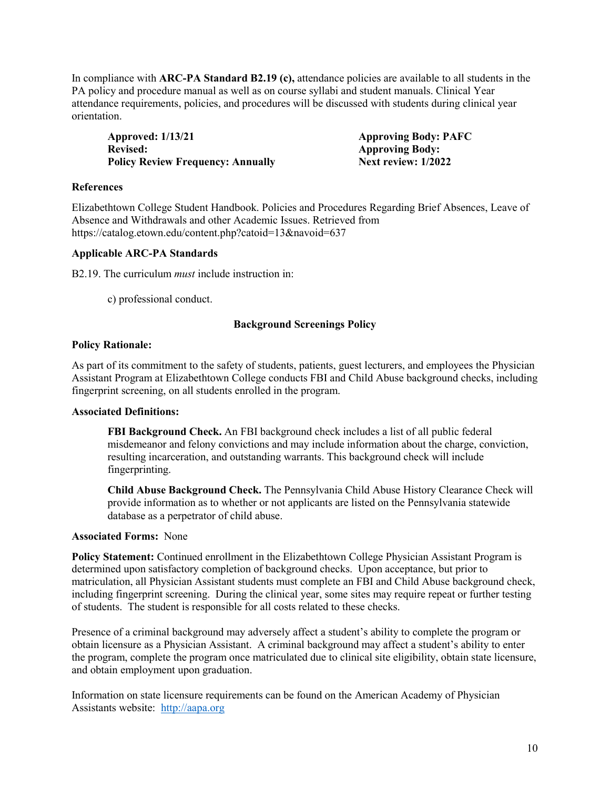In compliance with **ARC-PA Standard B2.19 (c),** attendance policies are available to all students in the PA policy and procedure manual as well as on course syllabi and student manuals. Clinical Year attendance requirements, policies, and procedures will be discussed with students during clinical year orientation.

**Approved: 1/13/21 Approving Body: PAFC Revised:** Approving Body:<br> **Policy Review Frequency: Annually Mext review: 1/2022 Policy Review Frequency: Annually** 

# **References**

Elizabethtown College Student Handbook. Policies and Procedures Regarding Brief Absences, Leave of Absence and Withdrawals and other Academic Issues. Retrieved from https://catalog.etown.edu/content.php?catoid=13&navoid=637

# **Applicable ARC-PA Standards**

B2.19. The curriculum *must* include instruction in:

c) professional conduct.

# **Background Screenings Policy**

# **Policy Rationale:**

As part of its commitment to the safety of students, patients, guest lecturers, and employees the Physician Assistant Program at Elizabethtown College conducts FBI and Child Abuse background checks, including fingerprint screening, on all students enrolled in the program.

# **Associated Definitions:**

**FBI Background Check.** An FBI background check includes a list of all public federal misdemeanor and felony convictions and may include information about the charge, conviction, resulting incarceration, and outstanding warrants. This background check will include fingerprinting.

**Child Abuse Background Check.** The Pennsylvania Child Abuse History Clearance Check will provide information as to whether or not applicants are listed on the Pennsylvania statewide database as a perpetrator of child abuse.

# **Associated Forms:** None

**Policy Statement:** Continued enrollment in the Elizabethtown College Physician Assistant Program is determined upon satisfactory completion of background checks. Upon acceptance, but prior to matriculation, all Physician Assistant students must complete an FBI and Child Abuse background check, including fingerprint screening. During the clinical year, some sites may require repeat or further testing of students. The student is responsible for all costs related to these checks.

Presence of a criminal background may adversely affect a student's ability to complete the program or obtain licensure as a Physician Assistant. A criminal background may affect a student's ability to enter the program, complete the program once matriculated due to clinical site eligibility, obtain state licensure, and obtain employment upon graduation.

Information on state licensure requirements can be found on the American Academy of Physician Assistants website: [http://aapa.org](http://aapa.org/)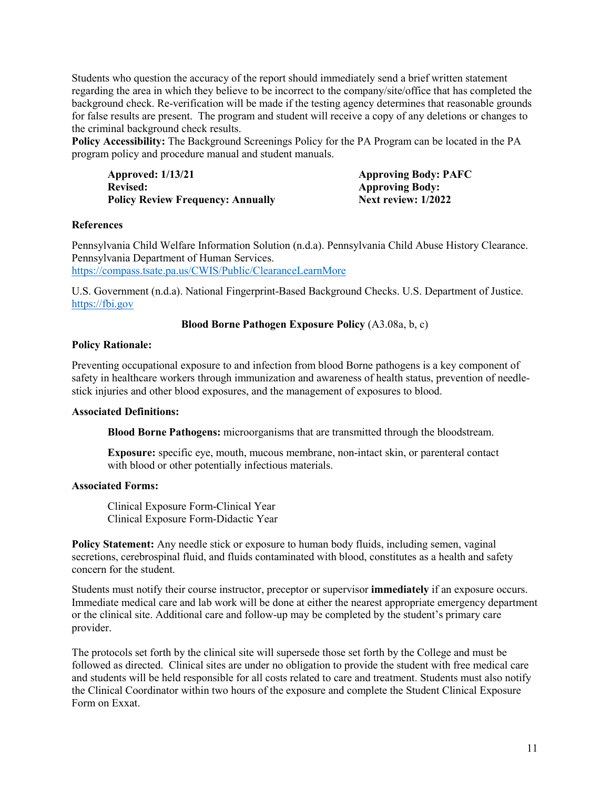Students who question the accuracy of the report should immediately send a brief written statement regarding the area in which they believe to be incorrect to the company/site/office that has completed the background check. Re-verification will be made if the testing agency determines that reasonable grounds for false results are present. The program and student will receive a copy of any deletions or changes to the criminal background check results.

**Policy Accessibility:** The Background Screenings Policy for the PA Program can be located in the PA program policy and procedure manual and student manuals.

**Approved: 1/13/21 Approving Body: PAFC** Revised: Approving Body:<br> **Policy Review Frequency: Annually Mexical Policy Review: 1/2022 Policy Review Frequency: Annually** 

# **References**

Pennsylvania Child Welfare Information Solution (n.d.a). Pennsylvania Child Abuse History Clearance. Pennsylvania Department of Human Services.

<https://compass.tsate.pa.us/CWIS/Public/ClearanceLearnMore>

U.S. Government (n.d.a). National Fingerprint-Based Background Checks. U.S. Department of Justice. [https://fbi.gov](https://fbi.gov/) 

# **Blood Borne Pathogen Exposure Policy** (A3.08a, b, c)

# **Policy Rationale:**

Preventing occupational exposure to and infection from blood Borne pathogens is a key component of safety in healthcare workers through immunization and awareness of health status, prevention of needlestick injuries and other blood exposures, and the management of exposures to blood.

# **Associated Definitions:**

**Blood Borne Pathogens:** microorganisms that are transmitted through the bloodstream.

**Exposure:** specific eye, mouth, mucous membrane, non-intact skin, or parenteral contact with blood or other potentially infectious materials.

# **Associated Forms:**

Clinical Exposure Form-Clinical Year Clinical Exposure Form-Didactic Year

**Policy Statement:** Any needle stick or exposure to human body fluids, including semen, vaginal secretions, cerebrospinal fluid, and fluids contaminated with blood, constitutes as a health and safety concern for the student.

Students must notify their course instructor, preceptor or supervisor **immediately** if an exposure occurs. Immediate medical care and lab work will be done at either the nearest appropriate emergency department or the clinical site. Additional care and follow-up may be completed by the student's primary care provider.

The protocols set forth by the clinical site will supersede those set forth by the College and must be followed as directed. Clinical sites are under no obligation to provide the student with free medical care and students will be held responsible for all costs related to care and treatment. Students must also notify the Clinical Coordinator within two hours of the exposure and complete the Student Clinical Exposure Form on Exxat.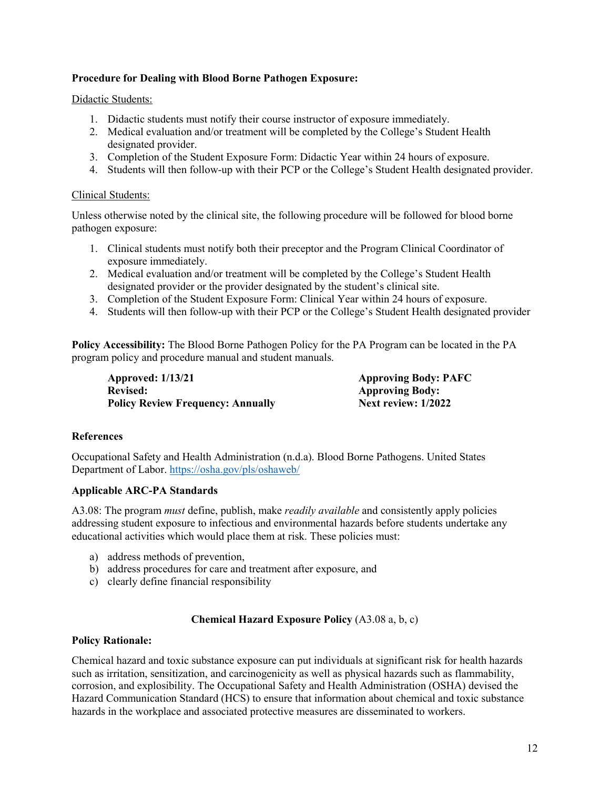# **Procedure for Dealing with Blood Borne Pathogen Exposure:**

#### Didactic Students:

- 1. Didactic students must notify their course instructor of exposure immediately.
- 2. Medical evaluation and/or treatment will be completed by the College's Student Health designated provider.
- 3. Completion of the Student Exposure Form: Didactic Year within 24 hours of exposure.
- 4. Students will then follow-up with their PCP or the College's Student Health designated provider.

#### Clinical Students:

Unless otherwise noted by the clinical site, the following procedure will be followed for blood borne pathogen exposure:

- 1. Clinical students must notify both their preceptor and the Program Clinical Coordinator of exposure immediately.
- 2. Medical evaluation and/or treatment will be completed by the College's Student Health designated provider or the provider designated by the student's clinical site.
- 3. Completion of the Student Exposure Form: Clinical Year within 24 hours of exposure.
- 4. Students will then follow-up with their PCP or the College's Student Health designated provider

**Policy Accessibility:** The Blood Borne Pathogen Policy for the PA Program can be located in the PA program policy and procedure manual and student manuals.

**Approved: 1/13/21 Approving Body: PAFC** Revised: **Approving Body: Policy Review Frequency: Annually Next review: 1/2022** 

# **References**

Occupational Safety and Health Administration (n.d.a). Blood Borne Pathogens. United States Department of Labor.<https://osha.gov/pls/oshaweb/>

# **Applicable ARC-PA Standards**

A3.08: The program *must* define, publish, make *readily available* and consistently apply policies addressing student exposure to infectious and environmental hazards before students undertake any educational activities which would place them at risk. These policies must:

- a) address methods of prevention,
- b) address procedures for care and treatment after exposure, and
- c) clearly define financial responsibility

# **Chemical Hazard Exposure Policy** (A3.08 a, b, c)

#### **Policy Rationale:**

Chemical hazard and toxic substance exposure can put individuals at significant risk for health hazards such as irritation, sensitization, and carcinogenicity as well as physical hazards such as flammability, corrosion, and explosibility. The Occupational Safety and Health Administration (OSHA) devised the Hazard Communication Standard (HCS) to ensure that information about chemical and toxic substance hazards in the workplace and associated protective measures are disseminated to workers.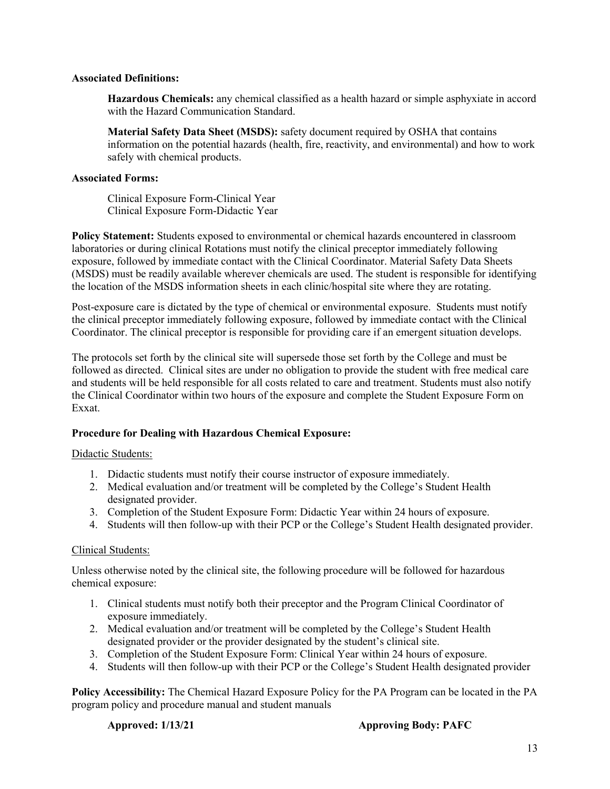#### **Associated Definitions:**

**Hazardous Chemicals:** any chemical classified as a health hazard or simple asphyxiate in accord with the Hazard Communication Standard.

**Material Safety Data Sheet (MSDS):** safety document required by OSHA that contains information on the potential hazards (health, fire, reactivity, and environmental) and how to work safely with chemical products.

# **Associated Forms:**

Clinical Exposure Form-Clinical Year Clinical Exposure Form-Didactic Year

**Policy Statement:** Students exposed to environmental or chemical hazards encountered in classroom laboratories or during clinical Rotations must notify the clinical preceptor immediately following exposure, followed by immediate contact with the Clinical Coordinator. Material Safety Data Sheets (MSDS) must be readily available wherever chemicals are used. The student is responsible for identifying the location of the MSDS information sheets in each clinic/hospital site where they are rotating.

Post-exposure care is dictated by the type of chemical or environmental exposure. Students must notify the clinical preceptor immediately following exposure, followed by immediate contact with the Clinical Coordinator. The clinical preceptor is responsible for providing care if an emergent situation develops.

The protocols set forth by the clinical site will supersede those set forth by the College and must be followed as directed. Clinical sites are under no obligation to provide the student with free medical care and students will be held responsible for all costs related to care and treatment. Students must also notify the Clinical Coordinator within two hours of the exposure and complete the Student Exposure Form on Exxat.

# **Procedure for Dealing with Hazardous Chemical Exposure:**

# Didactic Students:

- 1. Didactic students must notify their course instructor of exposure immediately.
- 2. Medical evaluation and/or treatment will be completed by the College's Student Health designated provider.
- 3. Completion of the Student Exposure Form: Didactic Year within 24 hours of exposure.
- 4. Students will then follow-up with their PCP or the College's Student Health designated provider.

# Clinical Students:

Unless otherwise noted by the clinical site, the following procedure will be followed for hazardous chemical exposure:

- 1. Clinical students must notify both their preceptor and the Program Clinical Coordinator of exposure immediately.
- 2. Medical evaluation and/or treatment will be completed by the College's Student Health designated provider or the provider designated by the student's clinical site.
- 3. Completion of the Student Exposure Form: Clinical Year within 24 hours of exposure.
- 4. Students will then follow-up with their PCP or the College's Student Health designated provider

**Policy Accessibility:** The Chemical Hazard Exposure Policy for the PA Program can be located in the PA program policy and procedure manual and student manuals

#### **Approved: 1/13/21 Approving Body: PAFC**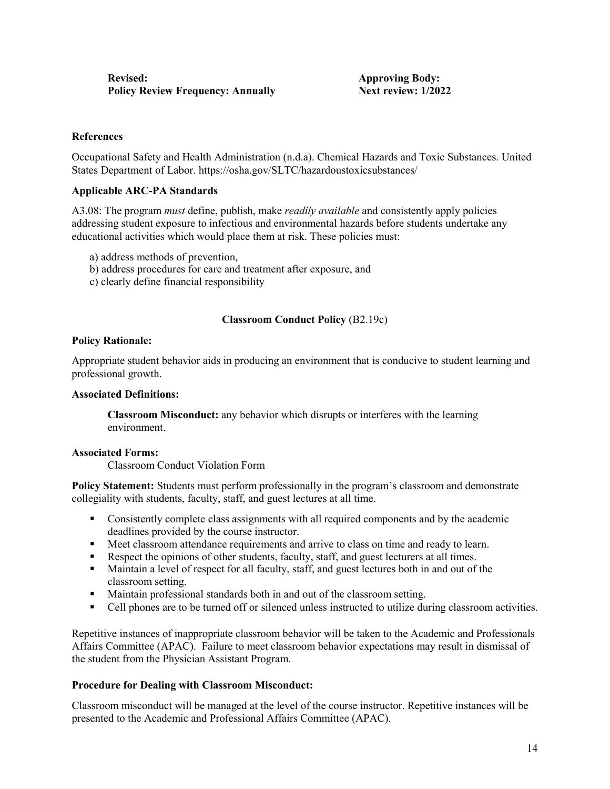# **References**

Occupational Safety and Health Administration (n.d.a). Chemical Hazards and Toxic Substances. United States Department of Labor. https://osha.gov/SLTC/hazardoustoxicsubstances/

#### **Applicable ARC-PA Standards**

A3.08: The program *must* define, publish, make *readily available* and consistently apply policies addressing student exposure to infectious and environmental hazards before students undertake any educational activities which would place them at risk. These policies must:

- a) address methods of prevention,
- b) address procedures for care and treatment after exposure, and
- c) clearly define financial responsibility

# **Classroom Conduct Policy** (B2.19c)

#### **Policy Rationale:**

Appropriate student behavior aids in producing an environment that is conducive to student learning and professional growth.

#### **Associated Definitions:**

**Classroom Misconduct:** any behavior which disrupts or interferes with the learning environment.

#### **Associated Forms:**

Classroom Conduct Violation Form

**Policy Statement:** Students must perform professionally in the program's classroom and demonstrate collegiality with students, faculty, staff, and guest lectures at all time.

- **Consistently complete class assignments with all required components and by the academic** deadlines provided by the course instructor.
- **Meet classroom attendance requirements and arrive to class on time and ready to learn.**
- Respect the opinions of other students, faculty, staff, and guest lecturers at all times.
- Maintain a level of respect for all faculty, staff, and guest lectures both in and out of the classroom setting.
- Maintain professional standards both in and out of the classroom setting.
- Cell phones are to be turned off or silenced unless instructed to utilize during classroom activities.

Repetitive instances of inappropriate classroom behavior will be taken to the Academic and Professionals Affairs Committee (APAC). Failure to meet classroom behavior expectations may result in dismissal of the student from the Physician Assistant Program.

# **Procedure for Dealing with Classroom Misconduct:**

Classroom misconduct will be managed at the level of the course instructor. Repetitive instances will be presented to the Academic and Professional Affairs Committee (APAC).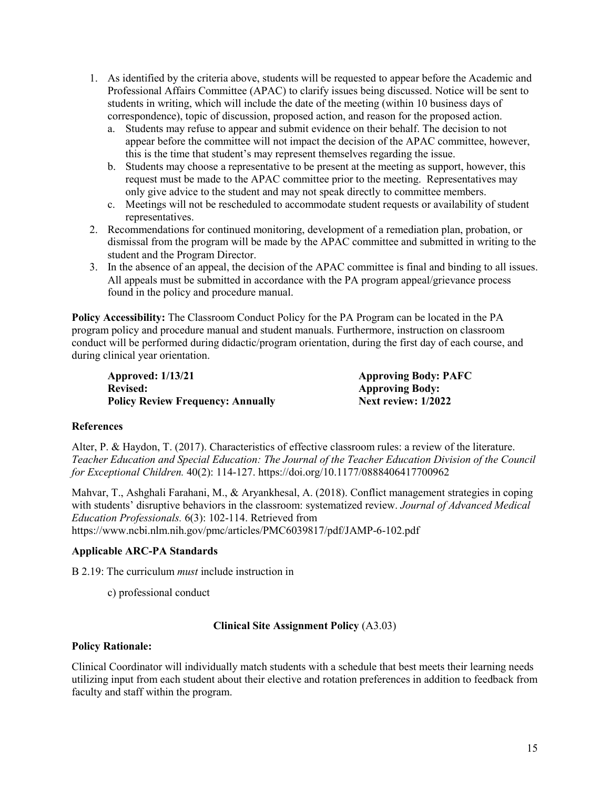- 1. As identified by the criteria above, students will be requested to appear before the Academic and Professional Affairs Committee (APAC) to clarify issues being discussed. Notice will be sent to students in writing, which will include the date of the meeting (within 10 business days of correspondence), topic of discussion, proposed action, and reason for the proposed action.
	- a. Students may refuse to appear and submit evidence on their behalf. The decision to not appear before the committee will not impact the decision of the APAC committee, however, this is the time that student's may represent themselves regarding the issue.
	- b. Students may choose a representative to be present at the meeting as support, however, this request must be made to the APAC committee prior to the meeting. Representatives may only give advice to the student and may not speak directly to committee members.
	- c. Meetings will not be rescheduled to accommodate student requests or availability of student representatives.
- 2. Recommendations for continued monitoring, development of a remediation plan, probation, or dismissal from the program will be made by the APAC committee and submitted in writing to the student and the Program Director.
- 3. In the absence of an appeal, the decision of the APAC committee is final and binding to all issues. All appeals must be submitted in accordance with the PA program appeal/grievance process found in the policy and procedure manual.

**Policy Accessibility:** The Classroom Conduct Policy for the PA Program can be located in the PA program policy and procedure manual and student manuals. Furthermore, instruction on classroom conduct will be performed during didactic/program orientation, during the first day of each course, and during clinical year orientation.

**Approved: 1/13/21 Approving Body: PAFC Revised: Approving Body: Policy Review Frequency: Annually <b>Next review: 1/2022** 

# **References**

Alter, P. & Haydon, T. (2017). Characteristics of effective classroom rules: a review of the literature. *Teacher Education and Special Education: The Journal of the Teacher Education Division of the Council for Exceptional Children.* 40(2): 114-127. https://doi.org/10.1177/0888406417700962

Mahvar, T., Ashghali Farahani, M., & Aryankhesal, A. (2018). Conflict management strategies in coping with students' disruptive behaviors in the classroom: systematized review. *Journal of Advanced Medical Education Professionals.* 6(3): 102-114. Retrieved from https://www.ncbi.nlm.nih.gov/pmc/articles/PMC6039817/pdf/JAMP-6-102.pdf

# **Applicable ARC-PA Standards**

B 2.19: The curriculum *must* include instruction in

c) professional conduct

# **Clinical Site Assignment Policy** (A3.03)

# **Policy Rationale:**

Clinical Coordinator will individually match students with a schedule that best meets their learning needs utilizing input from each student about their elective and rotation preferences in addition to feedback from faculty and staff within the program.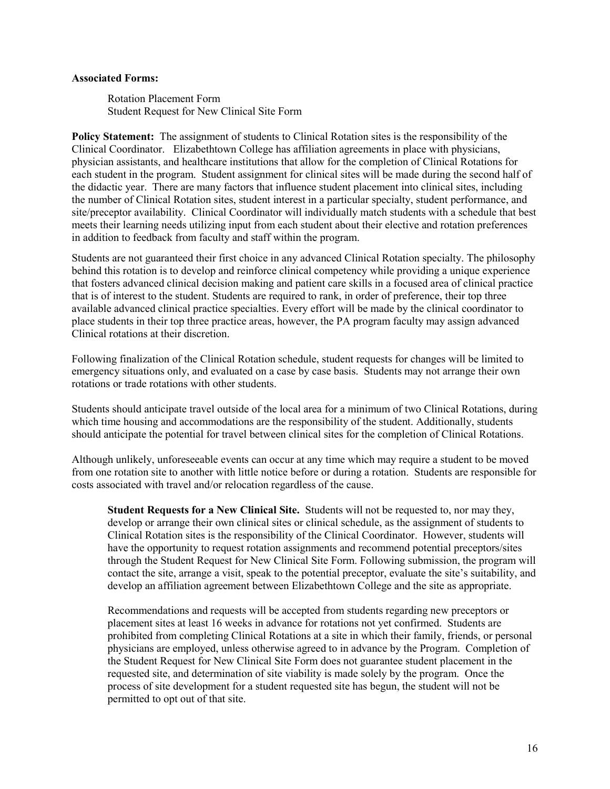#### **Associated Forms:**

Rotation Placement Form Student Request for New Clinical Site Form

**Policy Statement:** The assignment of students to Clinical Rotation sites is the responsibility of the Clinical Coordinator. Elizabethtown College has affiliation agreements in place with physicians, physician assistants, and healthcare institutions that allow for the completion of Clinical Rotations for each student in the program. Student assignment for clinical sites will be made during the second half of the didactic year. There are many factors that influence student placement into clinical sites, including the number of Clinical Rotation sites, student interest in a particular specialty, student performance, and site/preceptor availability. Clinical Coordinator will individually match students with a schedule that best meets their learning needs utilizing input from each student about their elective and rotation preferences in addition to feedback from faculty and staff within the program.

Students are not guaranteed their first choice in any advanced Clinical Rotation specialty. The philosophy behind this rotation is to develop and reinforce clinical competency while providing a unique experience that fosters advanced clinical decision making and patient care skills in a focused area of clinical practice that is of interest to the student. Students are required to rank, in order of preference, their top three available advanced clinical practice specialties. Every effort will be made by the clinical coordinator to place students in their top three practice areas, however, the PA program faculty may assign advanced Clinical rotations at their discretion.

Following finalization of the Clinical Rotation schedule, student requests for changes will be limited to emergency situations only, and evaluated on a case by case basis. Students may not arrange their own rotations or trade rotations with other students.

Students should anticipate travel outside of the local area for a minimum of two Clinical Rotations, during which time housing and accommodations are the responsibility of the student. Additionally, students should anticipate the potential for travel between clinical sites for the completion of Clinical Rotations.

Although unlikely, unforeseeable events can occur at any time which may require a student to be moved from one rotation site to another with little notice before or during a rotation. Students are responsible for costs associated with travel and/or relocation regardless of the cause.

**Student Requests for a New Clinical Site.** Students will not be requested to, nor may they, develop or arrange their own clinical sites or clinical schedule, as the assignment of students to Clinical Rotation sites is the responsibility of the Clinical Coordinator. However, students will have the opportunity to request rotation assignments and recommend potential preceptors/sites through the Student Request for New Clinical Site Form. Following submission, the program will contact the site, arrange a visit, speak to the potential preceptor, evaluate the site's suitability, and develop an affiliation agreement between Elizabethtown College and the site as appropriate.

Recommendations and requests will be accepted from students regarding new preceptors or placement sites at least 16 weeks in advance for rotations not yet confirmed. Students are prohibited from completing Clinical Rotations at a site in which their family, friends, or personal physicians are employed, unless otherwise agreed to in advance by the Program. Completion of the Student Request for New Clinical Site Form does not guarantee student placement in the requested site, and determination of site viability is made solely by the program. Once the process of site development for a student requested site has begun, the student will not be permitted to opt out of that site.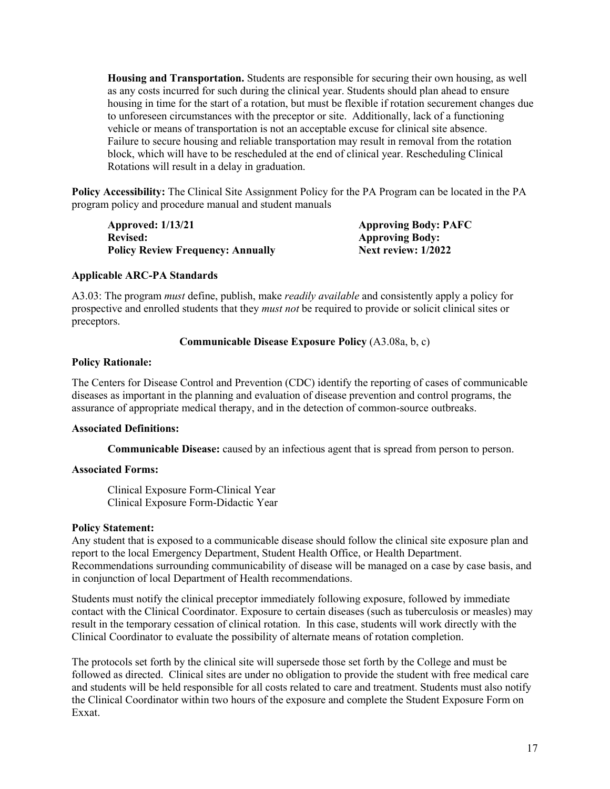**Housing and Transportation.** Students are responsible for securing their own housing, as well as any costs incurred for such during the clinical year. Students should plan ahead to ensure housing in time for the start of a rotation, but must be flexible if rotation securement changes due to unforeseen circumstances with the preceptor or site. Additionally, lack of a functioning vehicle or means of transportation is not an acceptable excuse for clinical site absence. Failure to secure housing and reliable transportation may result in removal from the rotation block, which will have to be rescheduled at the end of clinical year. Rescheduling Clinical Rotations will result in a delay in graduation.

**Policy Accessibility:** The Clinical Site Assignment Policy for the PA Program can be located in the PA program policy and procedure manual and student manuals

**Approved: 1/13/21 Approving Body: PAFC Revised: Approving Body: Policy Review Frequency: Annually** 

# **Applicable ARC-PA Standards**

A3.03: The program *must* define, publish, make *readily available* and consistently apply a policy for prospective and enrolled students that they *must not* be required to provide or solicit clinical sites or preceptors.

#### **Communicable Disease Exposure Policy** (A3.08a, b, c)

#### **Policy Rationale:**

The Centers for Disease Control and Prevention (CDC) identify the reporting of cases of communicable diseases as important in the planning and evaluation of disease prevention and control programs, the assurance of appropriate medical therapy, and in the detection of common-source outbreaks.

# **Associated Definitions:**

**Communicable Disease:** caused by an infectious agent that is spread from person to person.

# **Associated Forms:**

Clinical Exposure Form-Clinical Year Clinical Exposure Form-Didactic Year

#### **Policy Statement:**

Any student that is exposed to a communicable disease should follow the clinical site exposure plan and report to the local Emergency Department, Student Health Office, or Health Department. Recommendations surrounding communicability of disease will be managed on a case by case basis, and in conjunction of local Department of Health recommendations.

Students must notify the clinical preceptor immediately following exposure, followed by immediate contact with the Clinical Coordinator. Exposure to certain diseases (such as tuberculosis or measles) may result in the temporary cessation of clinical rotation. In this case, students will work directly with the Clinical Coordinator to evaluate the possibility of alternate means of rotation completion.

The protocols set forth by the clinical site will supersede those set forth by the College and must be followed as directed. Clinical sites are under no obligation to provide the student with free medical care and students will be held responsible for all costs related to care and treatment. Students must also notify the Clinical Coordinator within two hours of the exposure and complete the Student Exposure Form on Exxat.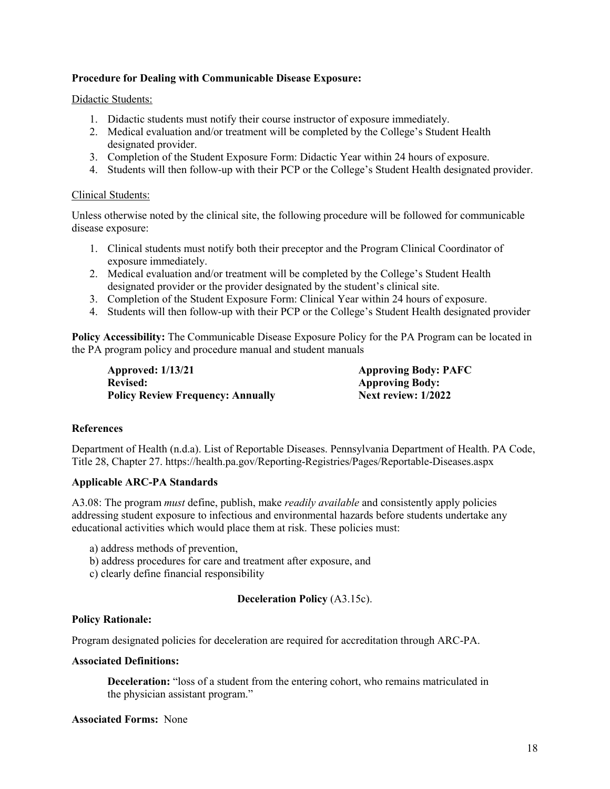# **Procedure for Dealing with Communicable Disease Exposure:**

#### Didactic Students:

- 1. Didactic students must notify their course instructor of exposure immediately.
- 2. Medical evaluation and/or treatment will be completed by the College's Student Health designated provider.
- 3. Completion of the Student Exposure Form: Didactic Year within 24 hours of exposure.
- 4. Students will then follow-up with their PCP or the College's Student Health designated provider.

#### Clinical Students:

Unless otherwise noted by the clinical site, the following procedure will be followed for communicable disease exposure:

- 1. Clinical students must notify both their preceptor and the Program Clinical Coordinator of exposure immediately.
- 2. Medical evaluation and/or treatment will be completed by the College's Student Health designated provider or the provider designated by the student's clinical site.
- 3. Completion of the Student Exposure Form: Clinical Year within 24 hours of exposure.
- 4. Students will then follow-up with their PCP or the College's Student Health designated provider

**Policy Accessibility:** The Communicable Disease Exposure Policy for the PA Program can be located in the PA program policy and procedure manual and student manuals

**Approved: 1/13/21 Approving Body: PAFC** Revised: **Approving Body: Policy Review Frequency: Annually Next review: 1/2022** 

#### **References**

Department of Health (n.d.a). List of Reportable Diseases. Pennsylvania Department of Health. PA Code, Title 28, Chapter 27. https://health.pa.gov/Reporting-Registries/Pages/Reportable-Diseases.aspx

# **Applicable ARC-PA Standards**

A3.08: The program *must* define, publish, make *readily available* and consistently apply policies addressing student exposure to infectious and environmental hazards before students undertake any educational activities which would place them at risk. These policies must:

- a) address methods of prevention,
- b) address procedures for care and treatment after exposure, and
- c) clearly define financial responsibility

#### **Deceleration Policy** (A3.15c).

#### **Policy Rationale:**

Program designated policies for deceleration are required for accreditation through ARC-PA.

#### **Associated Definitions:**

**Deceleration:** "loss of a student from the entering cohort, who remains matriculated in the physician assistant program."

#### **Associated Forms:** None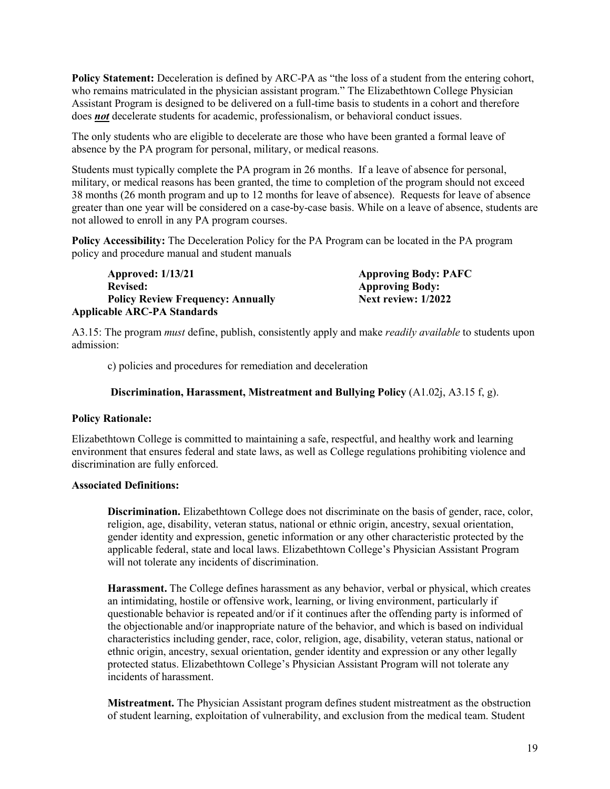**Policy Statement:** Deceleration is defined by ARC-PA as "the loss of a student from the entering cohort, who remains matriculated in the physician assistant program." The Elizabethtown College Physician Assistant Program is designed to be delivered on a full-time basis to students in a cohort and therefore does *not* decelerate students for academic, professionalism, or behavioral conduct issues.

The only students who are eligible to decelerate are those who have been granted a formal leave of absence by the PA program for personal, military, or medical reasons.

Students must typically complete the PA program in 26 months. If a leave of absence for personal, military, or medical reasons has been granted, the time to completion of the program should not exceed 38 months (26 month program and up to 12 months for leave of absence). Requests for leave of absence greater than one year will be considered on a case-by-case basis. While on a leave of absence, students are not allowed to enroll in any PA program courses.

**Policy Accessibility:** The Deceleration Policy for the PA Program can be located in the PA program policy and procedure manual and student manuals

| <b>Approved: 1/13/21</b>                 | <b>Approving Body: PAFC</b> |
|------------------------------------------|-----------------------------|
| <b>Revised:</b>                          | <b>Approving Body:</b>      |
| <b>Policy Review Frequency: Annually</b> | Next review: 1/2022         |
| <b>Applicable ARC-PA Standards</b>       |                             |

A3.15: The program *must* define, publish, consistently apply and make *readily available* to students upon admission:

c) policies and procedures for remediation and deceleration

#### **Discrimination, Harassment, Mistreatment and Bullying Policy** (A1.02j, A3.15 f, g).

#### **Policy Rationale:**

Elizabethtown College is committed to maintaining a safe, respectful, and healthy work and learning environment that ensures federal and state laws, as well as College regulations prohibiting violence and discrimination are fully enforced.

#### **Associated Definitions:**

**Discrimination.** Elizabethtown College does not discriminate on the basis of gender, race, color, religion, age, disability, veteran status, national or ethnic origin, ancestry, sexual orientation, gender identity and expression, genetic information or any other characteristic protected by the applicable federal, state and local laws. Elizabethtown College's Physician Assistant Program will not tolerate any incidents of discrimination.

**Harassment.** The College defines harassment as any behavior, verbal or physical, which creates an intimidating, hostile or offensive work, learning, or living environment, particularly if questionable behavior is repeated and/or if it continues after the offending party is informed of the objectionable and/or inappropriate nature of the behavior, and which is based on individual characteristics including gender, race, color, religion, age, disability, veteran status, national or ethnic origin, ancestry, sexual orientation, gender identity and expression or any other legally protected status. Elizabethtown College's Physician Assistant Program will not tolerate any incidents of harassment.

**Mistreatment.** The Physician Assistant program defines student mistreatment as the obstruction of student learning, exploitation of vulnerability, and exclusion from the medical team. Student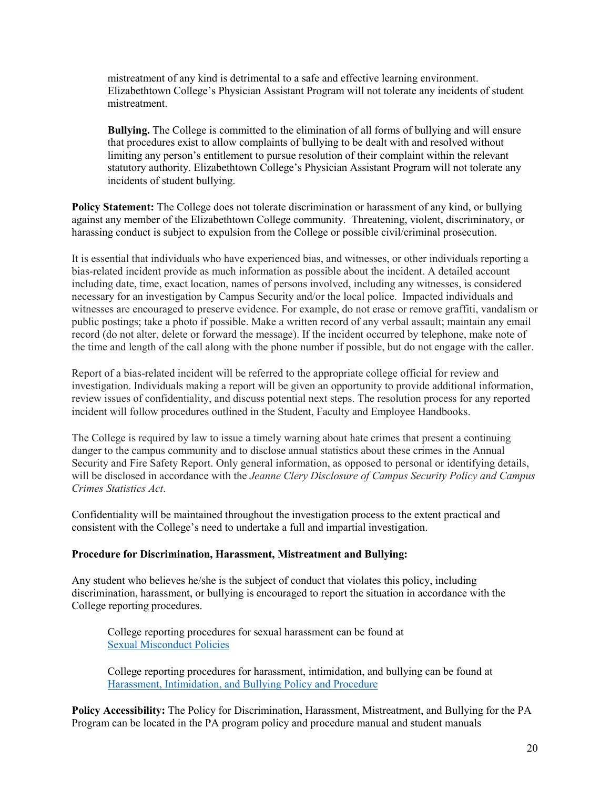mistreatment of any kind is detrimental to a safe and effective learning environment. Elizabethtown College's Physician Assistant Program will not tolerate any incidents of student mistreatment.

**Bullying.** The College is committed to the elimination of all forms of bullying and will ensure that procedures exist to allow complaints of bullying to be dealt with and resolved without limiting any person's entitlement to pursue resolution of their complaint within the relevant statutory authority. Elizabethtown College's Physician Assistant Program will not tolerate any incidents of student bullying.

**Policy Statement:** The College does not tolerate discrimination or harassment of any kind, or bullying against any member of the Elizabethtown College community. Threatening, violent, discriminatory, or harassing conduct is subject to expulsion from the College or possible civil/criminal prosecution.

It is essential that individuals who have experienced bias, and witnesses, or other individuals reporting a bias-related incident provide as much information as possible about the incident. A detailed account including date, time, exact location, names of persons involved, including any witnesses, is considered necessary for an investigation by Campus Security and/or the local police. Impacted individuals and witnesses are encouraged to preserve evidence. For example, do not erase or remove graffiti, vandalism or public postings; take a photo if possible. Make a written record of any verbal assault; maintain any email record (do not alter, delete or forward the message). If the incident occurred by telephone, make note of the time and length of the call along with the phone number if possible, but do not engage with the caller.

Report of a bias-related incident will be referred to the appropriate college official for review and investigation. Individuals making a report will be given an opportunity to provide additional information, review issues of confidentiality, and discuss potential next steps. The resolution process for any reported incident will follow procedures outlined in the Student, Faculty and Employee Handbooks.

The College is required by law to issue a timely warning about hate crimes that present a continuing danger to the campus community and to disclose annual statistics about these crimes in the Annual Security and Fire Safety Report. Only general information, as opposed to personal or identifying details, will be disclosed in accordance with the *Jeanne Clery Disclosure of Campus Security Policy and Campus Crimes Statistics Act*.

Confidentiality will be maintained throughout the investigation process to the extent practical and consistent with the College's need to undertake a full and impartial investigation.

# **Procedure for Discrimination, Harassment, Mistreatment and Bullying:**

Any student who believes he/she is the subject of conduct that violates this policy, including discrimination, harassment, or bullying is encouraged to report the situation in accordance with the College reporting procedures.

College reporting procedures for sexual harassment can be found at [Sexual Misconduct Policies](https://catalog.etown.edu/content.php?catoid=9&navoid=468) 

College reporting procedures for harassment, intimidation, and bullying can be found at [Harassment, Intimidation, and Bullying Policy and Procedure](https://catalog.etown.edu/content.php?catoid=9&navoid=459#policy-regarding-harassment,-intimidation,-and-bullying) 

**Policy Accessibility:** The Policy for Discrimination, Harassment, Mistreatment, and Bullying for the PA Program can be located in the PA program policy and procedure manual and student manuals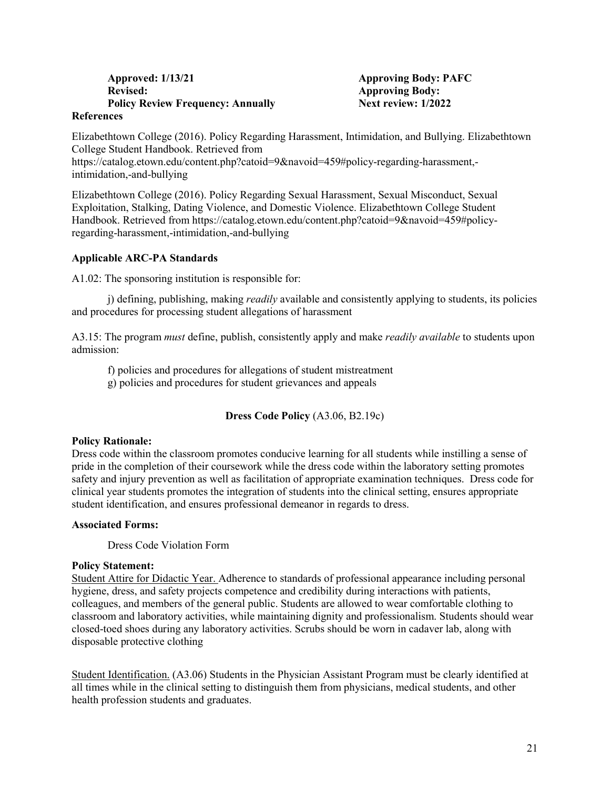# **Approved: 1/13/21 Approving Body: PAFC Revised: Approving Body: Policy Review Frequency: Annually Next review: 1/2022**

#### **References**

Elizabethtown College (2016). Policy Regarding Harassment, Intimidation, and Bullying. Elizabethtown College Student Handbook. Retrieved from https://catalog.etown.edu/content.php?catoid=9&navoid=459#policy-regarding-harassment, intimidation,-and-bullying

Elizabethtown College (2016). Policy Regarding Sexual Harassment, Sexual Misconduct, Sexual Exploitation, Stalking, Dating Violence, and Domestic Violence. Elizabethtown College Student Handbook. Retrieved from https://catalog.etown.edu/content.php?catoid=9&navoid=459#policyregarding-harassment,-intimidation,-and-bullying

# **Applicable ARC-PA Standards**

A1.02: The sponsoring institution is responsible for:

j) defining, publishing, making *readily* available and consistently applying to students, its policies and procedures for processing student allegations of harassment

A3.15: The program *must* define, publish, consistently apply and make *readily available* to students upon admission:

f) policies and procedures for allegations of student mistreatment

g) policies and procedures for student grievances and appeals

**Dress Code Policy** (A3.06, B2.19c)

#### **Policy Rationale:**

Dress code within the classroom promotes conducive learning for all students while instilling a sense of pride in the completion of their coursework while the dress code within the laboratory setting promotes safety and injury prevention as well as facilitation of appropriate examination techniques. Dress code for clinical year students promotes the integration of students into the clinical setting, ensures appropriate student identification, and ensures professional demeanor in regards to dress.

#### **Associated Forms:**

Dress Code Violation Form

#### **Policy Statement:**

Student Attire for Didactic Year. Adherence to standards of professional appearance including personal hygiene, dress, and safety projects competence and credibility during interactions with patients, colleagues, and members of the general public. Students are allowed to wear comfortable clothing to classroom and laboratory activities, while maintaining dignity and professionalism. Students should wear closed-toed shoes during any laboratory activities. Scrubs should be worn in cadaver lab, along with disposable protective clothing

Student Identification. (A3.06) Students in the Physician Assistant Program must be clearly identified at all times while in the clinical setting to distinguish them from physicians, medical students, and other health profession students and graduates.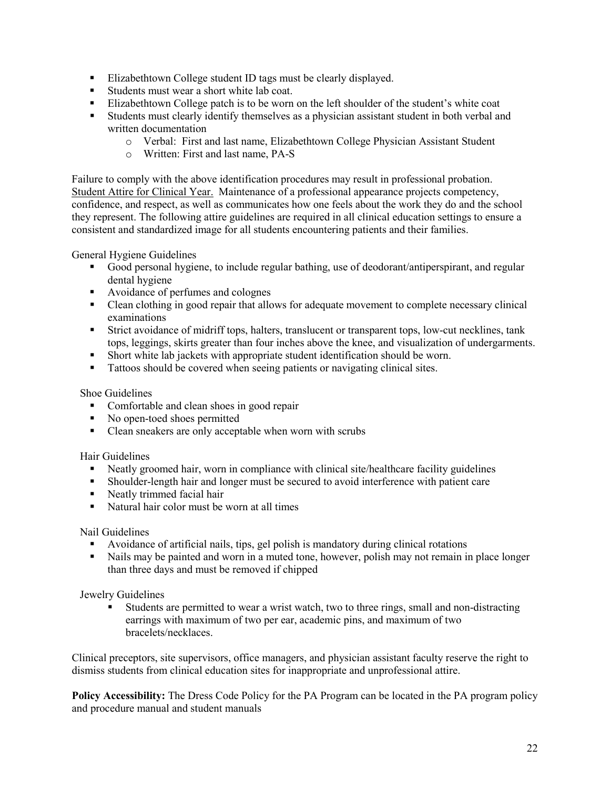- Elizabethtown College student ID tags must be clearly displayed.
- Students must wear a short white lab coat.
- Elizabethtown College patch is to be worn on the left shoulder of the student's white coat
- Students must clearly identify themselves as a physician assistant student in both verbal and written documentation
	- o Verbal: First and last name, Elizabethtown College Physician Assistant Student
	- o Written: First and last name, PA-S

Failure to comply with the above identification procedures may result in professional probation. Student Attire for Clinical Year. Maintenance of a professional appearance projects competency, confidence, and respect, as well as communicates how one feels about the work they do and the school they represent. The following attire guidelines are required in all clinical education settings to ensure a consistent and standardized image for all students encountering patients and their families.

General Hygiene Guidelines

- Good personal hygiene, to include regular bathing, use of deodorant/antiperspirant, and regular dental hygiene
- Avoidance of perfumes and colognes
- Clean clothing in good repair that allows for adequate movement to complete necessary clinical examinations
- Strict avoidance of midriff tops, halters, translucent or transparent tops, low-cut necklines, tank tops, leggings, skirts greater than four inches above the knee, and visualization of undergarments.
- Short white lab jackets with appropriate student identification should be worn.
- Tattoos should be covered when seeing patients or navigating clinical sites.

Shoe Guidelines

- Comfortable and clean shoes in good repair
- No open-toed shoes permitted
- Clean sneakers are only acceptable when worn with scrubs

Hair Guidelines

- Neatly groomed hair, worn in compliance with clinical site/healthcare facility guidelines
- Shoulder-length hair and longer must be secured to avoid interference with patient care
- Neatly trimmed facial hair
- Natural hair color must be worn at all times

Nail Guidelines

- Avoidance of artificial nails, tips, gel polish is mandatory during clinical rotations
- Nails may be painted and worn in a muted tone, however, polish may not remain in place longer than three days and must be removed if chipped

Jewelry Guidelines

 Students are permitted to wear a wrist watch, two to three rings, small and non-distracting earrings with maximum of two per ear, academic pins, and maximum of two bracelets/necklaces.

Clinical preceptors, site supervisors, office managers, and physician assistant faculty reserve the right to dismiss students from clinical education sites for inappropriate and unprofessional attire.

**Policy Accessibility:** The Dress Code Policy for the PA Program can be located in the PA program policy and procedure manual and student manuals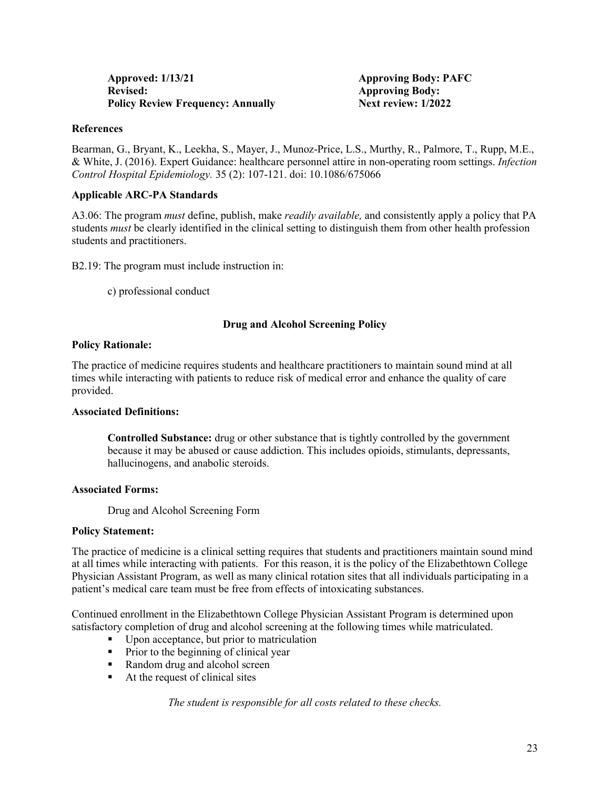| <b>Approved: 1/13/21</b>                 |  |
|------------------------------------------|--|
| <b>Revised:</b>                          |  |
| <b>Policy Review Frequency: Annually</b> |  |

Approving Body: PAFC **Approving Body: Next review: 1/2022** 

#### **References**

Bearman, G., Bryant, K., Leekha, S., Mayer, J., Munoz-Price, L.S., Murthy, R., Palmore, T., Rupp, M.E., & White, J. (2016). Expert Guidance: healthcare personnel attire in non-operating room settings. *Infection Control Hospital Epidemiology.* 35 (2): 107-121. doi: 10.1086/675066

# **Applicable ARC-PA Standards**

A3.06: The program *must* define, publish, make *readily available,* and consistently apply a policy that PA students *must* be clearly identified in the clinical setting to distinguish them from other health profession students and practitioners.

B2.19: The program must include instruction in:

c) professional conduct

# **Drug and Alcohol Screening Policy**

#### **Policy Rationale:**

The practice of medicine requires students and healthcare practitioners to maintain sound mind at all times while interacting with patients to reduce risk of medical error and enhance the quality of care provided.

#### **Associated Definitions:**

**Controlled Substance:** drug or other substance that is tightly controlled by the government because it may be abused or cause addiction. This includes opioids, stimulants, depressants, hallucinogens, and anabolic steroids.

#### **Associated Forms:**

Drug and Alcohol Screening Form

#### **Policy Statement:**

The practice of medicine is a clinical setting requires that students and practitioners maintain sound mind at all times while interacting with patients. For this reason, it is the policy of the Elizabethtown College Physician Assistant Program, as well as many clinical rotation sites that all individuals participating in a patient's medical care team must be free from effects of intoxicating substances.

Continued enrollment in the Elizabethtown College Physician Assistant Program is determined upon satisfactory completion of drug and alcohol screening at the following times while matriculated.

- Upon acceptance, but prior to matriculation
- **Prior to the beginning of clinical year**
- Random drug and alcohol screen
- At the request of clinical sites

*The student is responsible for all costs related to these checks.*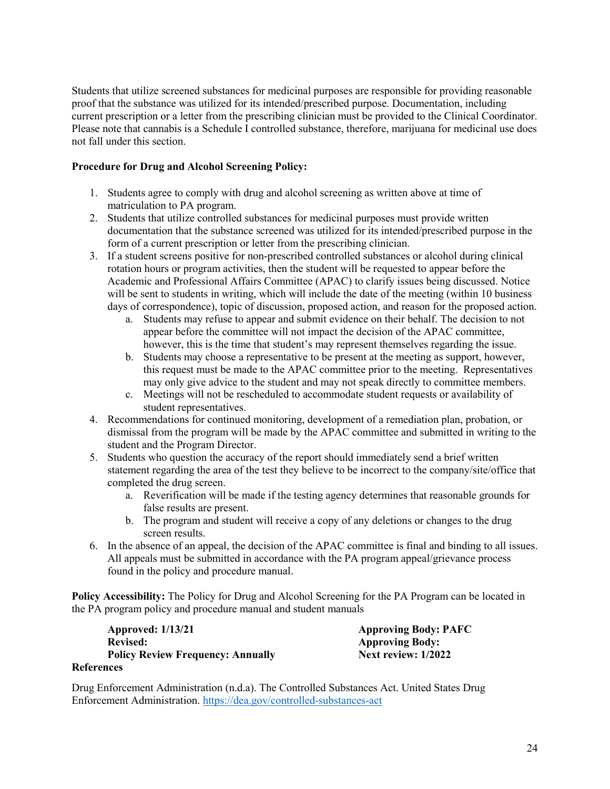Students that utilize screened substances for medicinal purposes are responsible for providing reasonable proof that the substance was utilized for its intended/prescribed purpose. Documentation, including current prescription or a letter from the prescribing clinician must be provided to the Clinical Coordinator. Please note that cannabis is a Schedule I controlled substance, therefore, marijuana for medicinal use does not fall under this section.

# **Procedure for Drug and Alcohol Screening Policy:**

- 1. Students agree to comply with drug and alcohol screening as written above at time of matriculation to PA program.
- 2. Students that utilize controlled substances for medicinal purposes must provide written documentation that the substance screened was utilized for its intended/prescribed purpose in the form of a current prescription or letter from the prescribing clinician.
- 3. If a student screens positive for non-prescribed controlled substances or alcohol during clinical rotation hours or program activities, then the student will be requested to appear before the Academic and Professional Affairs Committee (APAC) to clarify issues being discussed. Notice will be sent to students in writing, which will include the date of the meeting (within 10 business days of correspondence), topic of discussion, proposed action, and reason for the proposed action.
	- a. Students may refuse to appear and submit evidence on their behalf. The decision to not appear before the committee will not impact the decision of the APAC committee, however, this is the time that student's may represent themselves regarding the issue.
	- b. Students may choose a representative to be present at the meeting as support, however, this request must be made to the APAC committee prior to the meeting. Representatives may only give advice to the student and may not speak directly to committee members.
	- c. Meetings will not be rescheduled to accommodate student requests or availability of student representatives.
- 4. Recommendations for continued monitoring, development of a remediation plan, probation, or dismissal from the program will be made by the APAC committee and submitted in writing to the student and the Program Director.
- 5. Students who question the accuracy of the report should immediately send a brief written statement regarding the area of the test they believe to be incorrect to the company/site/office that completed the drug screen.
	- a. Reverification will be made if the testing agency determines that reasonable grounds for false results are present.
	- b. The program and student will receive a copy of any deletions or changes to the drug screen results.
- 6. In the absence of an appeal, the decision of the APAC committee is final and binding to all issues. All appeals must be submitted in accordance with the PA program appeal/grievance process found in the policy and procedure manual.

**Policy Accessibility:** The Policy for Drug and Alcohol Screening for the PA Program can be located in the PA program policy and procedure manual and student manuals

| <b>Approved: 1/13/21</b>                 |  |
|------------------------------------------|--|
| <b>Revised:</b>                          |  |
| <b>Policy Review Frequency: Annually</b> |  |

Approving Body: PAFC **Approving Body: Policy Review: 1/2022** 

# **References**

Drug Enforcement Administration (n.d.a). The Controlled Substances Act. United States Drug Enforcement Administration.<https://dea.gov/controlled-substances-act>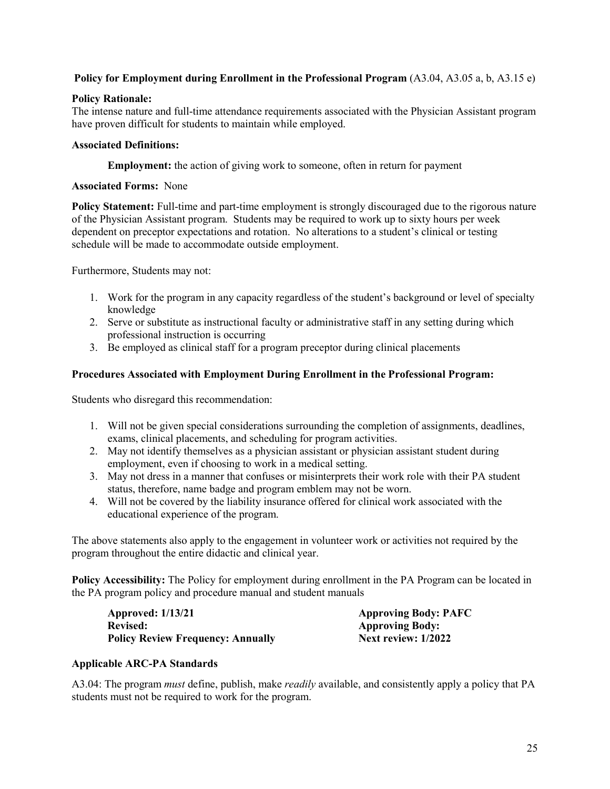# **Policy for Employment during Enrollment in the Professional Program** (A3.04, A3.05 a, b, A3.15 e)

# **Policy Rationale:**

The intense nature and full-time attendance requirements associated with the Physician Assistant program have proven difficult for students to maintain while employed.

# **Associated Definitions:**

**Employment:** the action of giving work to someone, often in return for payment

#### **Associated Forms:** None

**Policy Statement:** Full-time and part-time employment is strongly discouraged due to the rigorous nature of the Physician Assistant program. Students may be required to work up to sixty hours per week dependent on preceptor expectations and rotation. No alterations to a student's clinical or testing schedule will be made to accommodate outside employment.

Furthermore, Students may not:

- 1. Work for the program in any capacity regardless of the student's background or level of specialty knowledge
- 2. Serve or substitute as instructional faculty or administrative staff in any setting during which professional instruction is occurring
- 3. Be employed as clinical staff for a program preceptor during clinical placements

# **Procedures Associated with Employment During Enrollment in the Professional Program:**

Students who disregard this recommendation:

- 1. Will not be given special considerations surrounding the completion of assignments, deadlines, exams, clinical placements, and scheduling for program activities.
- 2. May not identify themselves as a physician assistant or physician assistant student during employment, even if choosing to work in a medical setting.
- 3. May not dress in a manner that confuses or misinterprets their work role with their PA student status, therefore, name badge and program emblem may not be worn.
- 4. Will not be covered by the liability insurance offered for clinical work associated with the educational experience of the program.

The above statements also apply to the engagement in volunteer work or activities not required by the program throughout the entire didactic and clinical year.

**Policy Accessibility:** The Policy for employment during enrollment in the PA Program can be located in the PA program policy and procedure manual and student manuals

**Approved: 1/13/21 Approving Body: PAFC Revised: Approving Body: Approving Body: Policy Review Frequency: Annually Approving Body: Policy Review: 1/2022 Policy Review Frequency: Annually** 

#### **Applicable ARC-PA Standards**

A3.04: The program *must* define, publish, make *readily* available, and consistently apply a policy that PA students must not be required to work for the program.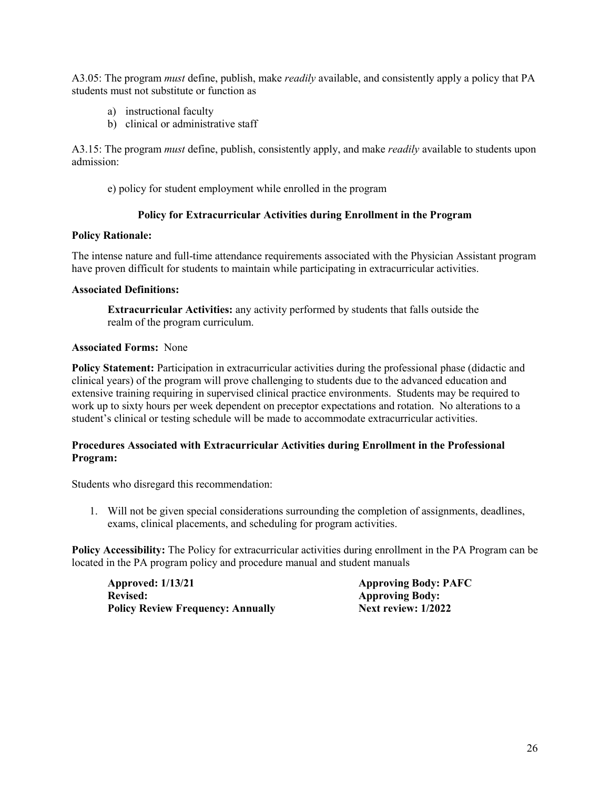A3.05: The program *must* define, publish, make *readily* available, and consistently apply a policy that PA students must not substitute or function as

- a) instructional faculty
- b) clinical or administrative staff

A3.15: The program *must* define, publish, consistently apply, and make *readily* available to students upon admission:

e) policy for student employment while enrolled in the program

# **Policy for Extracurricular Activities during Enrollment in the Program**

# **Policy Rationale:**

The intense nature and full-time attendance requirements associated with the Physician Assistant program have proven difficult for students to maintain while participating in extracurricular activities.

# **Associated Definitions:**

**Extracurricular Activities:** any activity performed by students that falls outside the realm of the program curriculum.

# **Associated Forms:** None

**Policy Statement:** Participation in extracurricular activities during the professional phase (didactic and clinical years) of the program will prove challenging to students due to the advanced education and extensive training requiring in supervised clinical practice environments. Students may be required to work up to sixty hours per week dependent on preceptor expectations and rotation. No alterations to a student's clinical or testing schedule will be made to accommodate extracurricular activities.

# **Procedures Associated with Extracurricular Activities during Enrollment in the Professional Program:**

Students who disregard this recommendation:

1. Will not be given special considerations surrounding the completion of assignments, deadlines, exams, clinical placements, and scheduling for program activities.

**Policy Accessibility:** The Policy for extracurricular activities during enrollment in the PA Program can be located in the PA program policy and procedure manual and student manuals

**Approved: 1/13/21 Approving Body: PAFC Revised: Approving Body: Policy Review Frequency: Annually <b>Next review: 1/2022**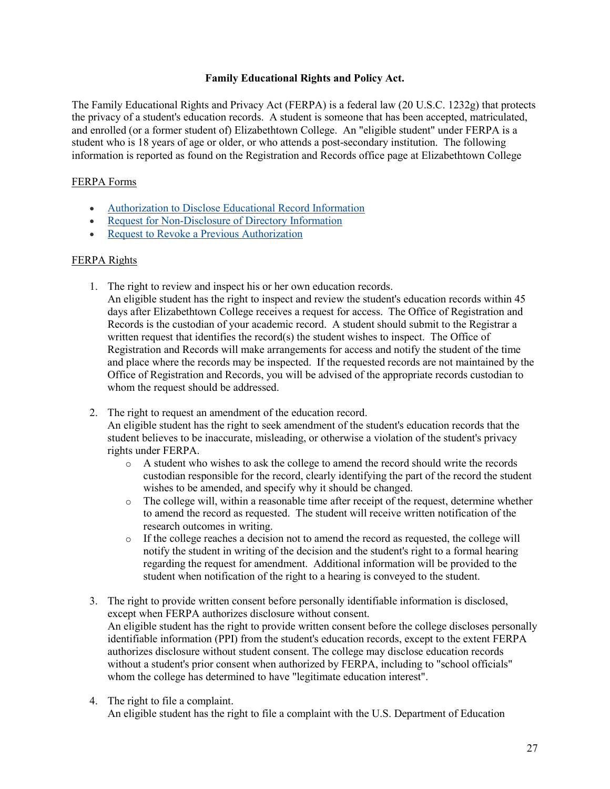# **Family Educational Rights and Policy Act.**

The Family Educational Rights and Privacy Act (FERPA) is a federal law (20 U.S.C. 1232g) that protects the privacy of a student's education records. A student is someone that has been accepted, matriculated, and enrolled (or a former student of) Elizabethtown College. An "eligible student" under FERPA is a student who is 18 years of age or older, or who attends a post-secondary institution. The following information is reported as found on the Registration and Records office page at Elizabethtown College

# FERPA Forms

- [Authorization to Disclose Educational Record Information](https://www.etown.edu/offices/registration-records/files/forms/NEW%20Disclose%20Edcuation%20Record%20form.pdf)
- [Request for Non-Disclosure of Directory Information](https://www.etown.edu/offices/registration-records/files/forms/NEW%20Request%20for%20Non-disclosure%20form.pdf)
- Request to Revoke a Previous Authorization

# FERPA Rights

- 1. The right to review and inspect his or her own education records.
	- An eligible student has the right to inspect and review the student's education records within 45 days after Elizabethtown College receives a request for access. The Office of Registration and Records is the custodian of your academic record. A student should submit to the Registrar a written request that identifies the record(s) the student wishes to inspect. The Office of Registration and Records will make arrangements for access and notify the student of the time and place where the records may be inspected. If the requested records are not maintained by the Office of Registration and Records, you will be advised of the appropriate records custodian to whom the request should be addressed.
- 2. The right to request an amendment of the education record. An eligible student has the right to seek amendment of the student's education records that the student believes to be inaccurate, misleading, or otherwise a violation of the student's privacy rights under FERPA.
	- $\circ$  A student who wishes to ask the college to amend the record should write the records custodian responsible for the record, clearly identifying the part of the record the student wishes to be amended, and specify why it should be changed.
	- $\circ$  The college will, within a reasonable time after receipt of the request, determine whether to amend the record as requested. The student will receive written notification of the research outcomes in writing.
	- $\circ$  If the college reaches a decision not to amend the record as requested, the college will notify the student in writing of the decision and the student's right to a formal hearing regarding the request for amendment. Additional information will be provided to the student when notification of the right to a hearing is conveyed to the student.
- 3. The right to provide written consent before personally identifiable information is disclosed, except when FERPA authorizes disclosure without consent. An eligible student has the right to provide written consent before the college discloses personally identifiable information (PPI) from the student's education records, except to the extent FERPA authorizes disclosure without student consent. The college may disclose education records without a student's prior consent when authorized by FERPA, including to "school officials" whom the college has determined to have "legitimate education interest".
- 4. The right to file a complaint. An eligible student has the right to file a complaint with the U.S. Department of Education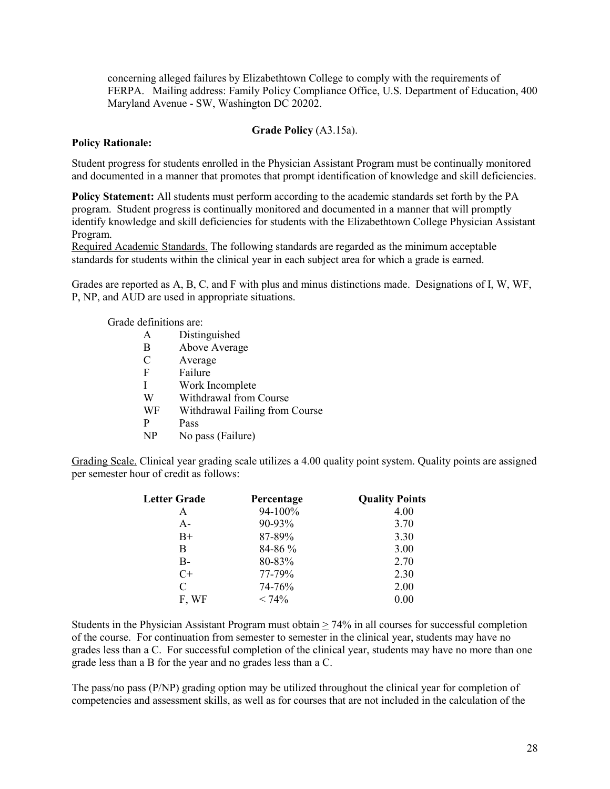concerning alleged failures by Elizabethtown College to comply with the requirements of FERPA. Mailing address: Family Policy Compliance Office, U.S. Department of Education, 400 Maryland Avenue - SW, Washington DC 20202.

#### **Grade Policy** (A3.15a).

#### **Policy Rationale:**

Student progress for students enrolled in the Physician Assistant Program must be continually monitored and documented in a manner that promotes that prompt identification of knowledge and skill deficiencies.

**Policy Statement:** All students must perform according to the academic standards set forth by the PA program. Student progress is continually monitored and documented in a manner that will promptly identify knowledge and skill deficiencies for students with the Elizabethtown College Physician Assistant Program.

Required Academic Standards. The following standards are regarded as the minimum acceptable standards for students within the clinical year in each subject area for which a grade is earned.

Grades are reported as A, B, C, and F with plus and minus distinctions made. Designations of I, W, WF, P, NP, and AUD are used in appropriate situations.

Grade definitions are:

|               | Distinguished                  |
|---------------|--------------------------------|
| B             | Above Average                  |
| $\mathcal{C}$ | Average                        |
| F             | Failure                        |
| I             | Work Incomplete                |
| W             | Withdrawal from Course         |
| WF            | Withdrawal Failing from Course |
| Р             | Pass                           |
|               | No pass (Failure)              |

Grading Scale. Clinical year grading scale utilizes a 4.00 quality point system. Quality points are assigned per semester hour of credit as follows:

| <b>Letter Grade</b> | Percentage  | <b>Quality Points</b> |
|---------------------|-------------|-----------------------|
| A                   | 94-100%     | 4.00                  |
| $A -$               | $90 - 93\%$ | 3.70                  |
| $B+$                | 87-89%      | 3.30                  |
| В                   | 84-86 %     | 3.00                  |
| B-                  | 80-83%      | 2.70                  |
| $C+$                | 77-79%      | 2.30                  |
| C                   | 74-76%      | 2.00                  |
| F, WF               | $< 74\%$    | 0.00                  |

Students in the Physician Assistant Program must obtain  $\geq$  74% in all courses for successful completion of the course. For continuation from semester to semester in the clinical year, students may have no grades less than a C. For successful completion of the clinical year, students may have no more than one grade less than a B for the year and no grades less than a C.

The pass/no pass (P/NP) grading option may be utilized throughout the clinical year for completion of competencies and assessment skills, as well as for courses that are not included in the calculation of the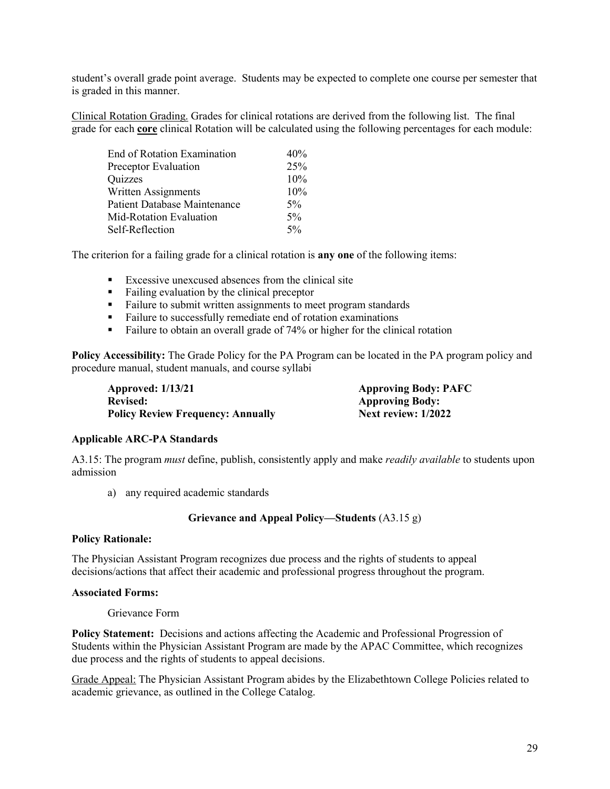student's overall grade point average. Students may be expected to complete one course per semester that is graded in this manner.

Clinical Rotation Grading. Grades for clinical rotations are derived from the following list. The final grade for each **core** clinical Rotation will be calculated using the following percentages for each module:

| End of Rotation Examination         | 40%   |
|-------------------------------------|-------|
| Preceptor Evaluation                | 25%   |
| Quizzes                             | 10%   |
| Written Assignments                 | 10%   |
| <b>Patient Database Maintenance</b> | 5%    |
| Mid-Rotation Evaluation             | $5\%$ |
| Self-Reflection                     | 5%    |

The criterion for a failing grade for a clinical rotation is **any one** of the following items:

- **Excessive unexcused absences from the clinical site**
- Failing evaluation by the clinical preceptor
- Failure to submit written assignments to meet program standards
- Failure to successfully remediate end of rotation examinations
- Failure to obtain an overall grade of 74% or higher for the clinical rotation

**Policy Accessibility:** The Grade Policy for the PA Program can be located in the PA program policy and procedure manual, student manuals, and course syllabi

| <b>Approved: 1/13/21</b>                 | <b>Approving Body: PAFC</b> |
|------------------------------------------|-----------------------------|
| <b>Revised:</b>                          | <b>Approving Body:</b>      |
| <b>Policy Review Frequency: Annually</b> | Next review: $1/2022$       |

#### **Applicable ARC-PA Standards**

A3.15: The program *must* define, publish, consistently apply and make *readily available* to students upon admission

a) any required academic standards

# **Grievance and Appeal Policy—Students** (A3.15 g)

#### **Policy Rationale:**

The Physician Assistant Program recognizes due process and the rights of students to appeal decisions/actions that affect their academic and professional progress throughout the program.

#### **Associated Forms:**

Grievance Form

**Policy Statement:** Decisions and actions affecting the Academic and Professional Progression of Students within the Physician Assistant Program are made by the APAC Committee, which recognizes due process and the rights of students to appeal decisions.

Grade Appeal: The Physician Assistant Program abides by the Elizabethtown College Policies related to academic grievance, as outlined in the College Catalog.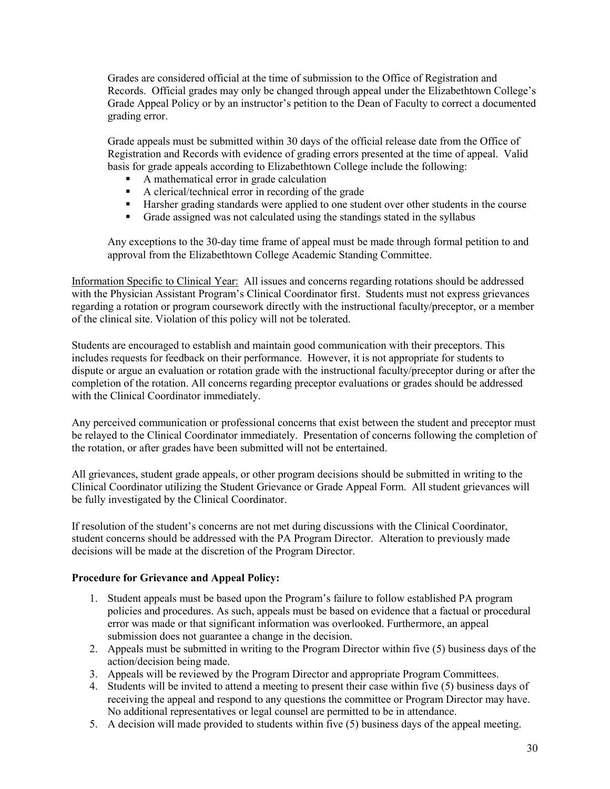Grades are considered official at the time of submission to the Office of Registration and Records. Official grades may only be changed through appeal under the Elizabethtown College's Grade Appeal Policy or by an instructor's petition to the Dean of Faculty to correct a documented grading error.

Grade appeals must be submitted within 30 days of the official release date from the Office of Registration and Records with evidence of grading errors presented at the time of appeal. Valid basis for grade appeals according to Elizabethtown College include the following:

- A mathematical error in grade calculation
- A clerical/technical error in recording of the grade
- Harsher grading standards were applied to one student over other students in the course
- Grade assigned was not calculated using the standings stated in the syllabus

Any exceptions to the 30-day time frame of appeal must be made through formal petition to and approval from the Elizabethtown College Academic Standing Committee.

Information Specific to Clinical Year: All issues and concerns regarding rotations should be addressed with the Physician Assistant Program's Clinical Coordinator first. Students must not express grievances regarding a rotation or program coursework directly with the instructional faculty/preceptor, or a member of the clinical site. Violation of this policy will not be tolerated.

Students are encouraged to establish and maintain good communication with their preceptors. This includes requests for feedback on their performance. However, it is not appropriate for students to dispute or argue an evaluation or rotation grade with the instructional faculty/preceptor during or after the completion of the rotation. All concerns regarding preceptor evaluations or grades should be addressed with the Clinical Coordinator immediately.

Any perceived communication or professional concerns that exist between the student and preceptor must be relayed to the Clinical Coordinator immediately. Presentation of concerns following the completion of the rotation, or after grades have been submitted will not be entertained.

All grievances, student grade appeals, or other program decisions should be submitted in writing to the Clinical Coordinator utilizing the Student Grievance or Grade Appeal Form. All student grievances will be fully investigated by the Clinical Coordinator.

If resolution of the student's concerns are not met during discussions with the Clinical Coordinator, student concerns should be addressed with the PA Program Director. Alteration to previously made decisions will be made at the discretion of the Program Director.

# **Procedure for Grievance and Appeal Policy:**

- 1. Student appeals must be based upon the Program's failure to follow established PA program policies and procedures. As such, appeals must be based on evidence that a factual or procedural error was made or that significant information was overlooked. Furthermore, an appeal submission does not guarantee a change in the decision.
- 2. Appeals must be submitted in writing to the Program Director within five (5) business days of the action/decision being made.
- 3. Appeals will be reviewed by the Program Director and appropriate Program Committees.
- 4. Students will be invited to attend a meeting to present their case within five (5) business days of receiving the appeal and respond to any questions the committee or Program Director may have. No additional representatives or legal counsel are permitted to be in attendance.
- 5. A decision will made provided to students within five (5) business days of the appeal meeting.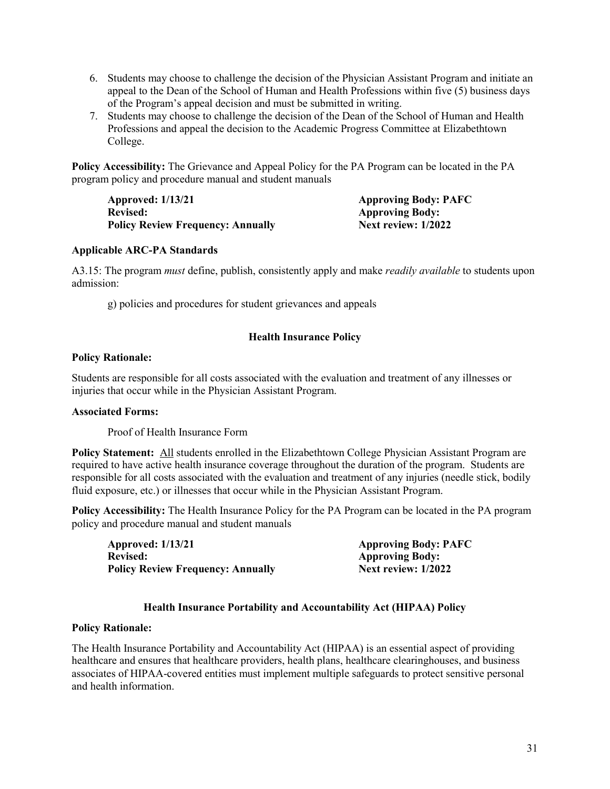- 6. Students may choose to challenge the decision of the Physician Assistant Program and initiate an appeal to the Dean of the School of Human and Health Professions within five (5) business days of the Program's appeal decision and must be submitted in writing.
- 7. Students may choose to challenge the decision of the Dean of the School of Human and Health Professions and appeal the decision to the Academic Progress Committee at Elizabethtown College.

**Policy Accessibility:** The Grievance and Appeal Policy for the PA Program can be located in the PA program policy and procedure manual and student manuals

**Approved: 1/13/21 Approving Body: PAFC Revised:** Approving Body:<br> **Policy Review Frequency: Annually Mext review: 1/2022 Policy Review Frequency: Annually** 

#### **Applicable ARC-PA Standards**

A3.15: The program *must* define, publish, consistently apply and make *readily available* to students upon admission:

g) policies and procedures for student grievances and appeals

# **Health Insurance Policy**

#### **Policy Rationale:**

Students are responsible for all costs associated with the evaluation and treatment of any illnesses or injuries that occur while in the Physician Assistant Program.

#### **Associated Forms:**

Proof of Health Insurance Form

**Policy Statement:** All students enrolled in the Elizabethtown College Physician Assistant Program are required to have active health insurance coverage throughout the duration of the program. Students are responsible for all costs associated with the evaluation and treatment of any injuries (needle stick, bodily fluid exposure, etc.) or illnesses that occur while in the Physician Assistant Program.

**Policy Accessibility:** The Health Insurance Policy for the PA Program can be located in the PA program policy and procedure manual and student manuals

| Approved: 1/13/21                        | <b>Approving Body: PAFC</b> |
|------------------------------------------|-----------------------------|
| <b>Revised:</b>                          | <b>Approving Body:</b>      |
| <b>Policy Review Frequency: Annually</b> | <b>Next review: 1/2022</b>  |

# **Health Insurance Portability and Accountability Act (HIPAA) Policy**

#### **Policy Rationale:**

The Health Insurance Portability and Accountability Act (HIPAA) is an essential aspect of providing healthcare and ensures that healthcare providers, health plans, healthcare clearinghouses, and business associates of HIPAA-covered entities must implement multiple safeguards to protect sensitive personal and health information.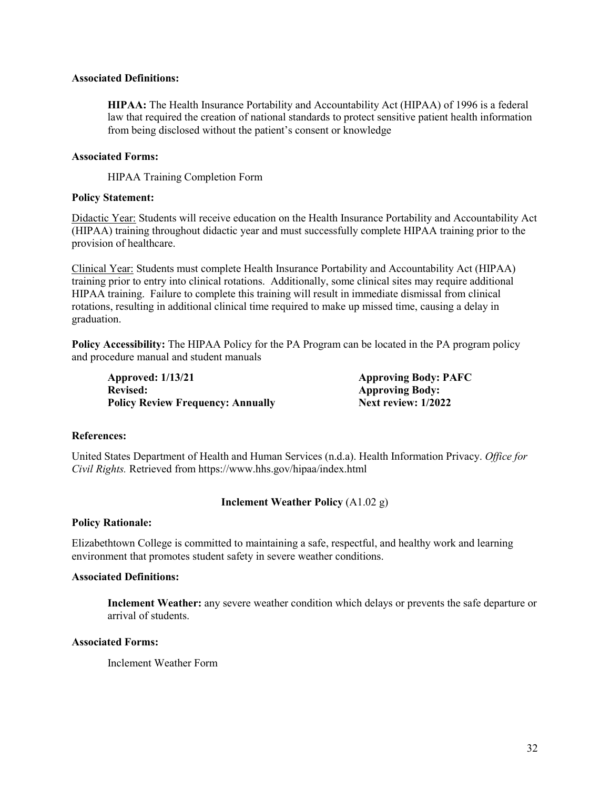#### **Associated Definitions:**

**HIPAA:** The Health Insurance Portability and Accountability Act (HIPAA) of 1996 is a federal law that required the creation of national standards to protect sensitive patient health information from being disclosed without the patient's consent or knowledge

# **Associated Forms:**

HIPAA Training Completion Form

# **Policy Statement:**

Didactic Year: Students will receive education on the Health Insurance Portability and Accountability Act (HIPAA) training throughout didactic year and must successfully complete HIPAA training prior to the provision of healthcare.

Clinical Year: Students must complete Health Insurance Portability and Accountability Act (HIPAA) training prior to entry into clinical rotations. Additionally, some clinical sites may require additional HIPAA training. Failure to complete this training will result in immediate dismissal from clinical rotations, resulting in additional clinical time required to make up missed time, causing a delay in graduation.

**Policy Accessibility:** The HIPAA Policy for the PA Program can be located in the PA program policy and procedure manual and student manuals

**Approved: 1/13/21 Approving Body: PAFC** Revised: **Approving Body: Policy Review Frequency: Annually Next review: 1/2022** 

# **References:**

United States Department of Health and Human Services (n.d.a). Health Information Privacy. *Office for Civil Rights.* Retrieved from https://www.hhs.gov/hipaa/index.html

# **Inclement Weather Policy** (A1.02 g)

# **Policy Rationale:**

Elizabethtown College is committed to maintaining a safe, respectful, and healthy work and learning environment that promotes student safety in severe weather conditions.

# **Associated Definitions:**

**Inclement Weather:** any severe weather condition which delays or prevents the safe departure or arrival of students.

#### **Associated Forms:**

Inclement Weather Form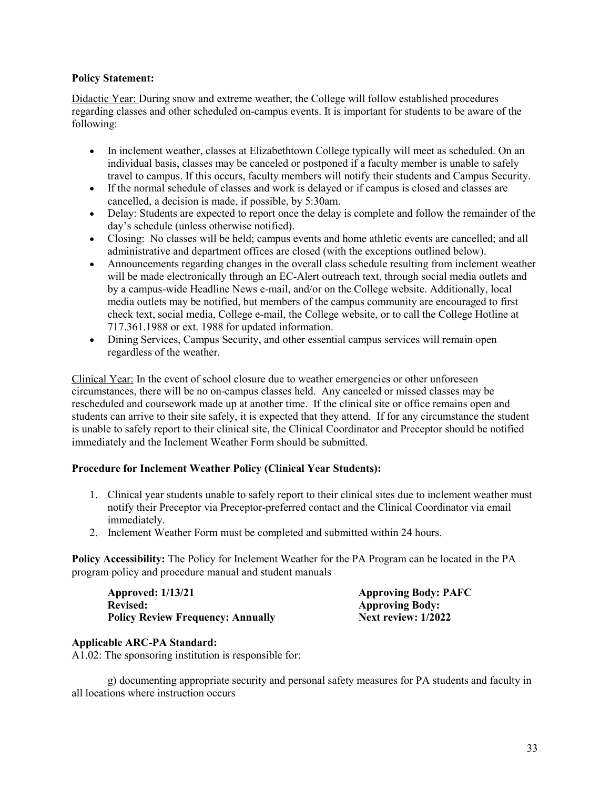# **Policy Statement:**

Didactic Year: During snow and extreme weather, the College will follow established procedures regarding classes and other scheduled on-campus events. It is important for students to be aware of the following:

- In inclement weather, classes at Elizabethtown College typically will meet as scheduled. On an individual basis, classes may be canceled or postponed if a faculty member is unable to safely travel to campus. If this occurs, faculty members will notify their students and Campus Security.
- If the normal schedule of classes and work is delayed or if campus is closed and classes are cancelled, a decision is made, if possible, by 5:30am.
- Delay: Students are expected to report once the delay is complete and follow the remainder of the day's schedule (unless otherwise notified).
- Closing: No classes will be held; campus events and home athletic events are cancelled; and all administrative and department offices are closed (with the exceptions outlined below).
- Announcements regarding changes in the overall class schedule resulting from inclement weather will be made electronically through an EC-Alert outreach text, through social media outlets and by a campus-wide Headline News e-mail, and/or on the College website. Additionally, local media outlets may be notified, but members of the campus community are encouraged to first check text, social media, College e-mail, the College website, or to call the College Hotline at 717.361.1988 or ext. 1988 for updated information.
- Dining Services, Campus Security, and other essential campus services will remain open regardless of the weather.

Clinical Year: In the event of school closure due to weather emergencies or other unforeseen circumstances, there will be no on-campus classes held. Any canceled or missed classes may be rescheduled and coursework made up at another time. If the clinical site or office remains open and students can arrive to their site safely, it is expected that they attend. If for any circumstance the student is unable to safely report to their clinical site, the Clinical Coordinator and Preceptor should be notified immediately and the Inclement Weather Form should be submitted.

# **Procedure for Inclement Weather Policy (Clinical Year Students):**

- 1. Clinical year students unable to safely report to their clinical sites due to inclement weather must notify their Preceptor via Preceptor-preferred contact and the Clinical Coordinator via email immediately.
- 2. Inclement Weather Form must be completed and submitted within 24 hours.

**Policy Accessibility:** The Policy for Inclement Weather for the PA Program can be located in the PA program policy and procedure manual and student manuals

| <b>Approved: 1/13/21</b>                 |  |
|------------------------------------------|--|
| <b>Revised:</b>                          |  |
| <b>Policy Review Frequency: Annually</b> |  |

Approving Body: PAFC **Approving Body: Next review: 1/2022** 

# **Applicable ARC-PA Standard:**

A1.02: The sponsoring institution is responsible for:

g) documenting appropriate security and personal safety measures for PA students and faculty in all locations where instruction occurs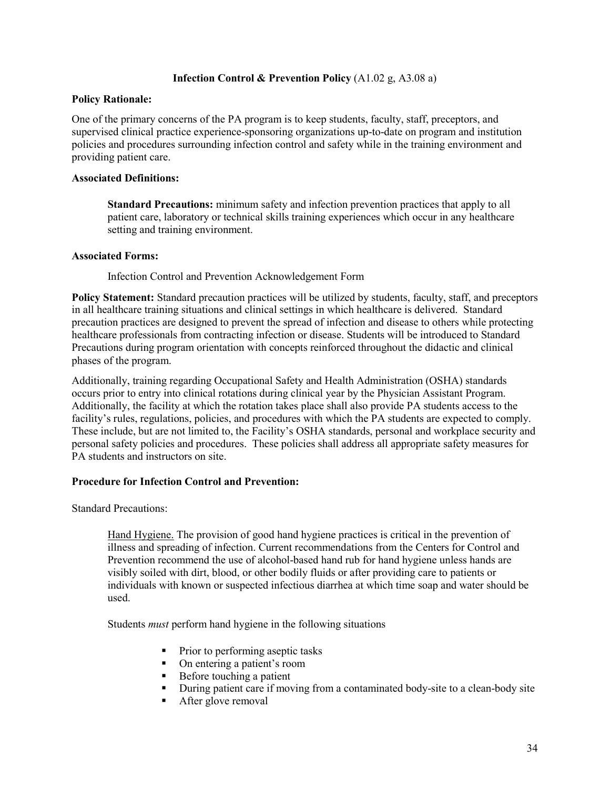# **Infection Control & Prevention Policy** (A1.02 g, A3.08 a)

# **Policy Rationale:**

One of the primary concerns of the PA program is to keep students, faculty, staff, preceptors, and supervised clinical practice experience-sponsoring organizations up-to-date on program and institution policies and procedures surrounding infection control and safety while in the training environment and providing patient care.

# **Associated Definitions:**

**Standard Precautions:** minimum safety and infection prevention practices that apply to all patient care, laboratory or technical skills training experiences which occur in any healthcare setting and training environment.

# **Associated Forms:**

Infection Control and Prevention Acknowledgement Form

**Policy Statement:** Standard precaution practices will be utilized by students, faculty, staff, and preceptors in all healthcare training situations and clinical settings in which healthcare is delivered. Standard precaution practices are designed to prevent the spread of infection and disease to others while protecting healthcare professionals from contracting infection or disease. Students will be introduced to Standard Precautions during program orientation with concepts reinforced throughout the didactic and clinical phases of the program.

Additionally, training regarding Occupational Safety and Health Administration (OSHA) standards occurs prior to entry into clinical rotations during clinical year by the Physician Assistant Program. Additionally, the facility at which the rotation takes place shall also provide PA students access to the facility's rules, regulations, policies, and procedures with which the PA students are expected to comply. These include, but are not limited to, the Facility's OSHA standards, personal and workplace security and personal safety policies and procedures. These policies shall address all appropriate safety measures for PA students and instructors on site.

# **Procedure for Infection Control and Prevention:**

Standard Precautions:

Hand Hygiene. The provision of good hand hygiene practices is critical in the prevention of illness and spreading of infection. Current recommendations from the Centers for Control and Prevention recommend the use of alcohol-based hand rub for hand hygiene unless hands are visibly soiled with dirt, blood, or other bodily fluids or after providing care to patients or individuals with known or suspected infectious diarrhea at which time soap and water should be used.

Students *must* perform hand hygiene in the following situations

- Prior to performing aseptic tasks
- On entering a patient's room
- Before touching a patient
- During patient care if moving from a contaminated body-site to a clean-body site
- After glove removal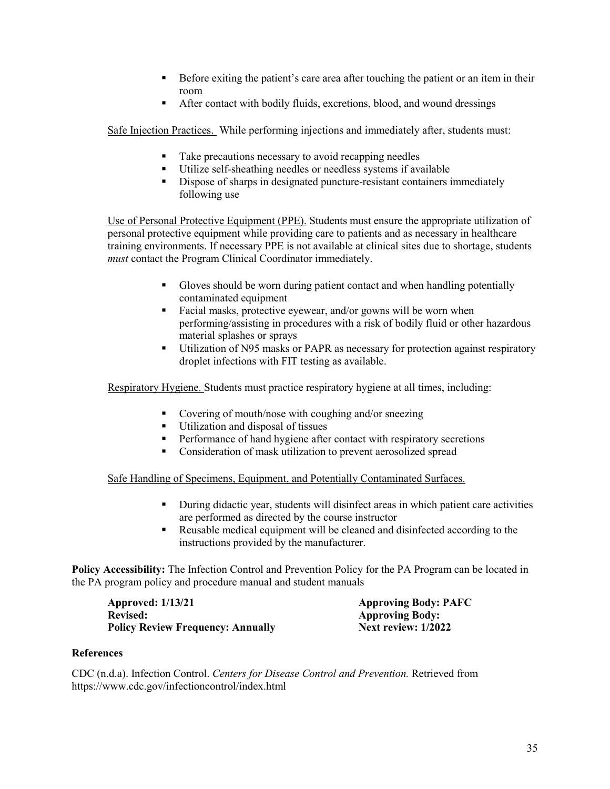- Before exiting the patient's care area after touching the patient or an item in their room
- After contact with bodily fluids, excretions, blood, and wound dressings

Safe Injection Practices. While performing injections and immediately after, students must:

- Take precautions necessary to avoid recapping needles
- Utilize self-sheathing needles or needless systems if available
- Dispose of sharps in designated puncture-resistant containers immediately following use

Use of Personal Protective Equipment (PPE). Students must ensure the appropriate utilization of personal protective equipment while providing care to patients and as necessary in healthcare training environments. If necessary PPE is not available at clinical sites due to shortage, students *must* contact the Program Clinical Coordinator immediately.

- Gloves should be worn during patient contact and when handling potentially contaminated equipment
- Facial masks, protective eyewear, and/or gowns will be worn when performing/assisting in procedures with a risk of bodily fluid or other hazardous material splashes or sprays
- Utilization of N95 masks or PAPR as necessary for protection against respiratory droplet infections with FIT testing as available.

Respiratory Hygiene. Students must practice respiratory hygiene at all times, including:

- Covering of mouth/nose with coughing and/or sneezing
- Utilization and disposal of tissues
- **Performance of hand hygiene after contact with respiratory secretions**
- **Consideration of mask utilization to prevent aerosolized spread**

Safe Handling of Specimens, Equipment, and Potentially Contaminated Surfaces.

- During didactic year, students will disinfect areas in which patient care activities are performed as directed by the course instructor
- Reusable medical equipment will be cleaned and disinfected according to the instructions provided by the manufacturer.

**Policy Accessibility:** The Infection Control and Prevention Policy for the PA Program can be located in the PA program policy and procedure manual and student manuals

**Approved: 1/13/21 Approving Body: PAFC Revised: Approving Body: Policy Review Frequency: Annually Next review: 1/2022** 

#### **References**

CDC (n.d.a). Infection Control. *Centers for Disease Control and Prevention.* Retrieved from https://www.cdc.gov/infectioncontrol/index.html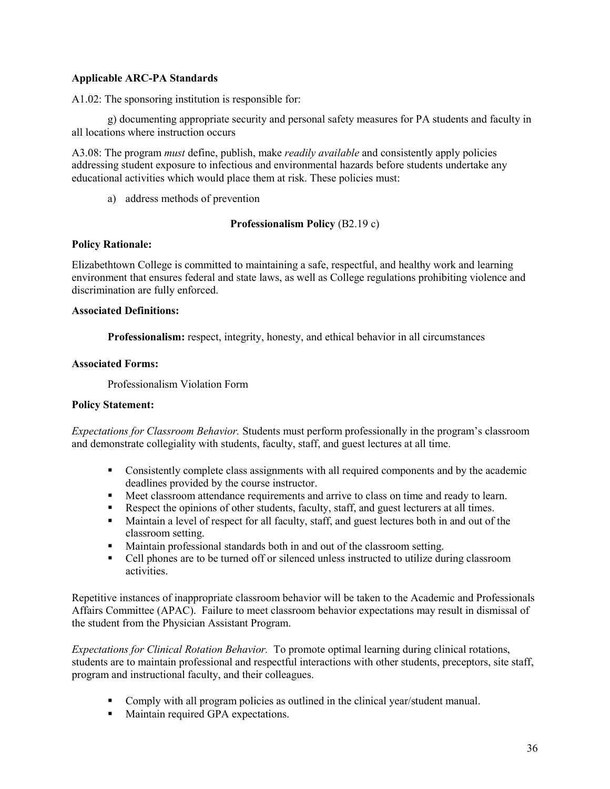# **Applicable ARC-PA Standards**

A1.02: The sponsoring institution is responsible for:

g) documenting appropriate security and personal safety measures for PA students and faculty in all locations where instruction occurs

A3.08: The program *must* define, publish, make *readily available* and consistently apply policies addressing student exposure to infectious and environmental hazards before students undertake any educational activities which would place them at risk. These policies must:

a) address methods of prevention

# **Professionalism Policy** (B2.19 c)

# **Policy Rationale:**

Elizabethtown College is committed to maintaining a safe, respectful, and healthy work and learning environment that ensures federal and state laws, as well as College regulations prohibiting violence and discrimination are fully enforced.

#### **Associated Definitions:**

**Professionalism:** respect, integrity, honesty, and ethical behavior in all circumstances

#### **Associated Forms:**

Professionalism Violation Form

# **Policy Statement:**

*Expectations for Classroom Behavior.* Students must perform professionally in the program's classroom and demonstrate collegiality with students, faculty, staff, and guest lectures at all time.

- Consistently complete class assignments with all required components and by the academic deadlines provided by the course instructor.
- Meet classroom attendance requirements and arrive to class on time and ready to learn.
- Respect the opinions of other students, faculty, staff, and guest lecturers at all times.
- Maintain a level of respect for all faculty, staff, and guest lectures both in and out of the classroom setting.
- Maintain professional standards both in and out of the classroom setting.
- Cell phones are to be turned off or silenced unless instructed to utilize during classroom activities.

Repetitive instances of inappropriate classroom behavior will be taken to the Academic and Professionals Affairs Committee (APAC). Failure to meet classroom behavior expectations may result in dismissal of the student from the Physician Assistant Program.

*Expectations for Clinical Rotation Behavior.* To promote optimal learning during clinical rotations, students are to maintain professional and respectful interactions with other students, preceptors, site staff, program and instructional faculty, and their colleagues.

- Comply with all program policies as outlined in the clinical year/student manual.
- Maintain required GPA expectations.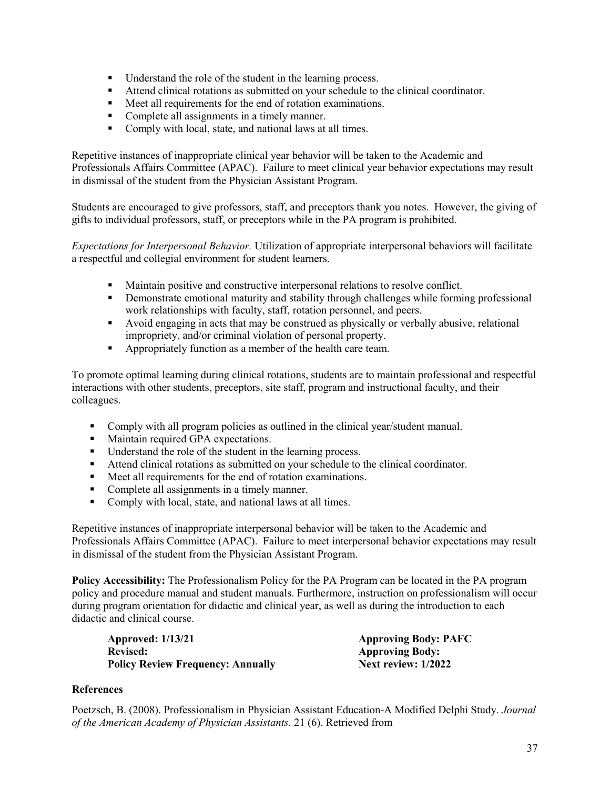- **If** Understand the role of the student in the learning process.
- Attend clinical rotations as submitted on your schedule to the clinical coordinator.
- Meet all requirements for the end of rotation examinations.
- Complete all assignments in a timely manner.
- Comply with local, state, and national laws at all times.

Repetitive instances of inappropriate clinical year behavior will be taken to the Academic and Professionals Affairs Committee (APAC). Failure to meet clinical year behavior expectations may result in dismissal of the student from the Physician Assistant Program.

Students are encouraged to give professors, staff, and preceptors thank you notes. However, the giving of gifts to individual professors, staff, or preceptors while in the PA program is prohibited.

*Expectations for Interpersonal Behavior.* Utilization of appropriate interpersonal behaviors will facilitate a respectful and collegial environment for student learners.

- Maintain positive and constructive interpersonal relations to resolve conflict.
- Demonstrate emotional maturity and stability through challenges while forming professional work relationships with faculty, staff, rotation personnel, and peers.
- Avoid engaging in acts that may be construed as physically or verbally abusive, relational impropriety, and/or criminal violation of personal property.
- Appropriately function as a member of the health care team.

To promote optimal learning during clinical rotations, students are to maintain professional and respectful interactions with other students, preceptors, site staff, program and instructional faculty, and their colleagues.

- Comply with all program policies as outlined in the clinical year/student manual.
- **Maintain required GPA expectations.**
- Understand the role of the student in the learning process.
- Attend clinical rotations as submitted on your schedule to the clinical coordinator.
- Meet all requirements for the end of rotation examinations.
- Complete all assignments in a timely manner.
- Comply with local, state, and national laws at all times.

Repetitive instances of inappropriate interpersonal behavior will be taken to the Academic and Professionals Affairs Committee (APAC). Failure to meet interpersonal behavior expectations may result in dismissal of the student from the Physician Assistant Program.

**Policy Accessibility:** The Professionalism Policy for the PA Program can be located in the PA program policy and procedure manual and student manuals. Furthermore, instruction on professionalism will occur during program orientation for didactic and clinical year, as well as during the introduction to each didactic and clinical course.

| <b>Approved: 1/13/21</b>                 | <b>Approving Body: PAFC</b> |
|------------------------------------------|-----------------------------|
| <b>Revised:</b>                          | <b>Approving Body:</b>      |
| <b>Policy Review Frequency: Annually</b> | Next review: $1/2022$       |

# **References**

Poetzsch, B. (2008). Professionalism in Physician Assistant Education-A Modified Delphi Study. *Journal of the American Academy of Physician Assistants.* 21 (6). Retrieved from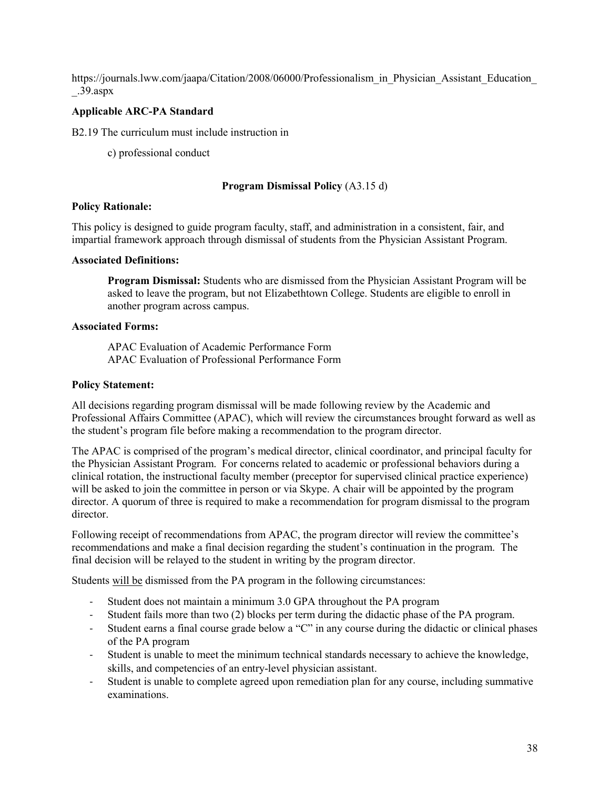https://journals.lww.com/jaapa/Citation/2008/06000/Professionalism\_in\_Physician\_Assistant\_Education \_.39.aspx

# **Applicable ARC-PA Standard**

B2.19 The curriculum must include instruction in

c) professional conduct

#### **Program Dismissal Policy** (A3.15 d)

#### **Policy Rationale:**

This policy is designed to guide program faculty, staff, and administration in a consistent, fair, and impartial framework approach through dismissal of students from the Physician Assistant Program.

#### **Associated Definitions:**

**Program Dismissal:** Students who are dismissed from the Physician Assistant Program will be asked to leave the program, but not Elizabethtown College. Students are eligible to enroll in another program across campus.

#### **Associated Forms:**

APAC Evaluation of Academic Performance Form APAC Evaluation of Professional Performance Form

# **Policy Statement:**

All decisions regarding program dismissal will be made following review by the Academic and Professional Affairs Committee (APAC), which will review the circumstances brought forward as well as the student's program file before making a recommendation to the program director.

The APAC is comprised of the program's medical director, clinical coordinator, and principal faculty for the Physician Assistant Program. For concerns related to academic or professional behaviors during a clinical rotation, the instructional faculty member (preceptor for supervised clinical practice experience) will be asked to join the committee in person or via Skype. A chair will be appointed by the program director. A quorum of three is required to make a recommendation for program dismissal to the program director.

Following receipt of recommendations from APAC, the program director will review the committee's recommendations and make a final decision regarding the student's continuation in the program. The final decision will be relayed to the student in writing by the program director.

Students will be dismissed from the PA program in the following circumstances:

- Student does not maintain a minimum 3.0 GPA throughout the PA program
- Student fails more than two (2) blocks per term during the didactic phase of the PA program.
- Student earns a final course grade below a "C" in any course during the didactic or clinical phases of the PA program
- Student is unable to meet the minimum technical standards necessary to achieve the knowledge, skills, and competencies of an entry-level physician assistant.
- Student is unable to complete agreed upon remediation plan for any course, including summative examinations.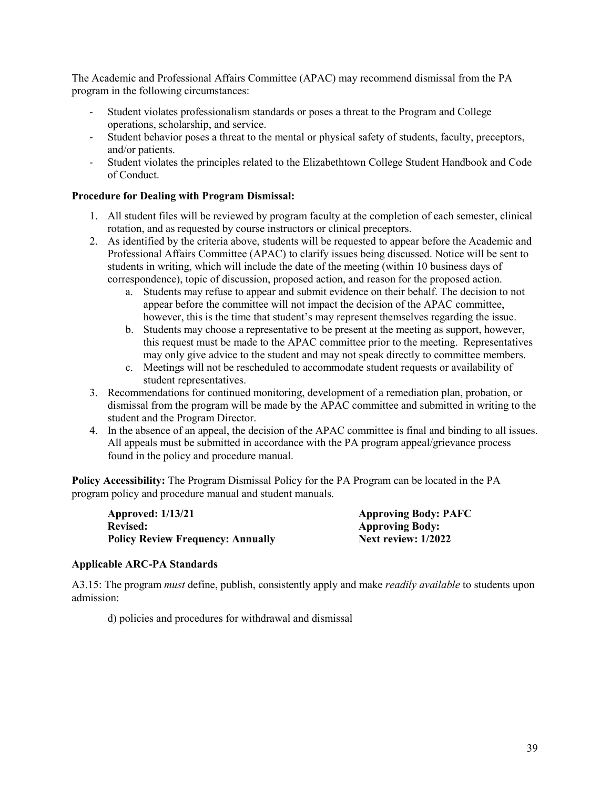The Academic and Professional Affairs Committee (APAC) may recommend dismissal from the PA program in the following circumstances:

- Student violates professionalism standards or poses a threat to the Program and College operations, scholarship, and service.
- Student behavior poses a threat to the mental or physical safety of students, faculty, preceptors, and/or patients.
- Student violates the principles related to the Elizabethtown College Student Handbook and Code of Conduct.

# **Procedure for Dealing with Program Dismissal:**

- 1. All student files will be reviewed by program faculty at the completion of each semester, clinical rotation, and as requested by course instructors or clinical preceptors.
- 2. As identified by the criteria above, students will be requested to appear before the Academic and Professional Affairs Committee (APAC) to clarify issues being discussed. Notice will be sent to students in writing, which will include the date of the meeting (within 10 business days of correspondence), topic of discussion, proposed action, and reason for the proposed action.
	- a. Students may refuse to appear and submit evidence on their behalf. The decision to not appear before the committee will not impact the decision of the APAC committee, however, this is the time that student's may represent themselves regarding the issue.
	- b. Students may choose a representative to be present at the meeting as support, however, this request must be made to the APAC committee prior to the meeting. Representatives may only give advice to the student and may not speak directly to committee members.
	- c. Meetings will not be rescheduled to accommodate student requests or availability of student representatives.
- 3. Recommendations for continued monitoring, development of a remediation plan, probation, or dismissal from the program will be made by the APAC committee and submitted in writing to the student and the Program Director.
- 4. In the absence of an appeal, the decision of the APAC committee is final and binding to all issues. All appeals must be submitted in accordance with the PA program appeal/grievance process found in the policy and procedure manual.

**Policy Accessibility:** The Program Dismissal Policy for the PA Program can be located in the PA program policy and procedure manual and student manuals.

**Approved: 1/13/21 Approving Body: PAFC Revised: Approving Body: Policy Review Frequency: Annually** 

# **Applicable ARC-PA Standards**

A3.15: The program *must* define, publish, consistently apply and make *readily available* to students upon admission:

d) policies and procedures for withdrawal and dismissal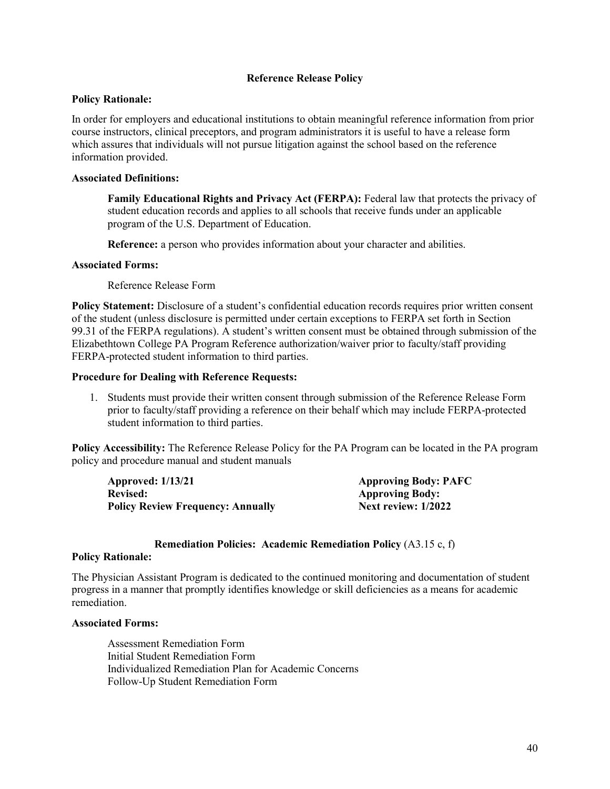# **Reference Release Policy**

#### **Policy Rationale:**

In order for employers and educational institutions to obtain meaningful reference information from prior course instructors, clinical preceptors, and program administrators it is useful to have a release form which assures that individuals will not pursue litigation against the school based on the reference information provided.

#### **Associated Definitions:**

**Family Educational Rights and Privacy Act (FERPA):** Federal law that protects the privacy of student education records and applies to all schools that receive funds under an applicable program of the U.S. Department of Education.

**Reference:** a person who provides information about your character and abilities.

#### **Associated Forms:**

Reference Release Form

**Policy Statement:** Disclosure of a student's confidential education records requires prior written consent of the student (unless disclosure is permitted under certain exceptions to FERPA set forth in Section 99.31 of the FERPA regulations). A student's written consent must be obtained through submission of the Elizabethtown College PA Program Reference authorization/waiver prior to faculty/staff providing FERPA-protected student information to third parties.

#### **Procedure for Dealing with Reference Requests:**

1. Students must provide their written consent through submission of the Reference Release Form prior to faculty/staff providing a reference on their behalf which may include FERPA-protected student information to third parties.

**Policy Accessibility:** The Reference Release Policy for the PA Program can be located in the PA program policy and procedure manual and student manuals

| <b>Approved: 1/13/21</b>                 | <b>Approving Body: PAFC</b> |
|------------------------------------------|-----------------------------|
| <b>Revised:</b>                          | <b>Approving Body:</b>      |
| <b>Policy Review Frequency: Annually</b> | Next review: $1/2022$       |

#### **Remediation Policies: Academic Remediation Policy** (A3.15 c, f)

#### **Policy Rationale:**

The Physician Assistant Program is dedicated to the continued monitoring and documentation of student progress in a manner that promptly identifies knowledge or skill deficiencies as a means for academic remediation.

#### **Associated Forms:**

Assessment Remediation Form Initial Student Remediation Form Individualized Remediation Plan for Academic Concerns Follow-Up Student Remediation Form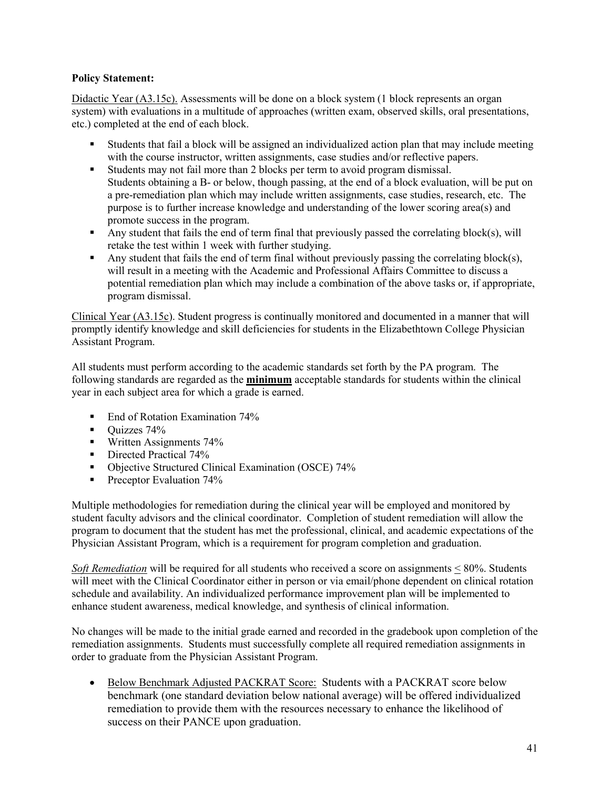# **Policy Statement:**

Didactic Year (A3.15c). Assessments will be done on a block system (1 block represents an organ system) with evaluations in a multitude of approaches (written exam, observed skills, oral presentations, etc.) completed at the end of each block.

- Students that fail a block will be assigned an individualized action plan that may include meeting with the course instructor, written assignments, case studies and/or reflective papers.
- Students may not fail more than 2 blocks per term to avoid program dismissal. Students obtaining a B- or below, though passing, at the end of a block evaluation, will be put on a pre-remediation plan which may include written assignments, case studies, research, etc. The purpose is to further increase knowledge and understanding of the lower scoring area(s) and promote success in the program.
- Any student that fails the end of term final that previously passed the correlating block(s), will retake the test within 1 week with further studying.
- Any student that fails the end of term final without previously passing the correlating block(s), will result in a meeting with the Academic and Professional Affairs Committee to discuss a potential remediation plan which may include a combination of the above tasks or, if appropriate, program dismissal.

Clinical Year (A3.15c). Student progress is continually monitored and documented in a manner that will promptly identify knowledge and skill deficiencies for students in the Elizabethtown College Physician Assistant Program.

All students must perform according to the academic standards set forth by the PA program. The following standards are regarded as the **minimum** acceptable standards for students within the clinical year in each subject area for which a grade is earned.

- End of Rotation Examination 74%
- Quizzes 74%
- **Written Assignments 74%**
- Directed Practical 74%
- Objective Structured Clinical Examination (OSCE) 74%
- Preceptor Evaluation  $74\%$

Multiple methodologies for remediation during the clinical year will be employed and monitored by student faculty advisors and the clinical coordinator. Completion of student remediation will allow the program to document that the student has met the professional, clinical, and academic expectations of the Physician Assistant Program, which is a requirement for program completion and graduation.

*Soft Remediation* will be required for all students who received a score on assignments < 80%. Students will meet with the Clinical Coordinator either in person or via email/phone dependent on clinical rotation schedule and availability. An individualized performance improvement plan will be implemented to enhance student awareness, medical knowledge, and synthesis of clinical information.

No changes will be made to the initial grade earned and recorded in the gradebook upon completion of the remediation assignments. Students must successfully complete all required remediation assignments in order to graduate from the Physician Assistant Program.

• Below Benchmark Adjusted PACKRAT Score: Students with a PACKRAT score below benchmark (one standard deviation below national average) will be offered individualized remediation to provide them with the resources necessary to enhance the likelihood of success on their PANCE upon graduation.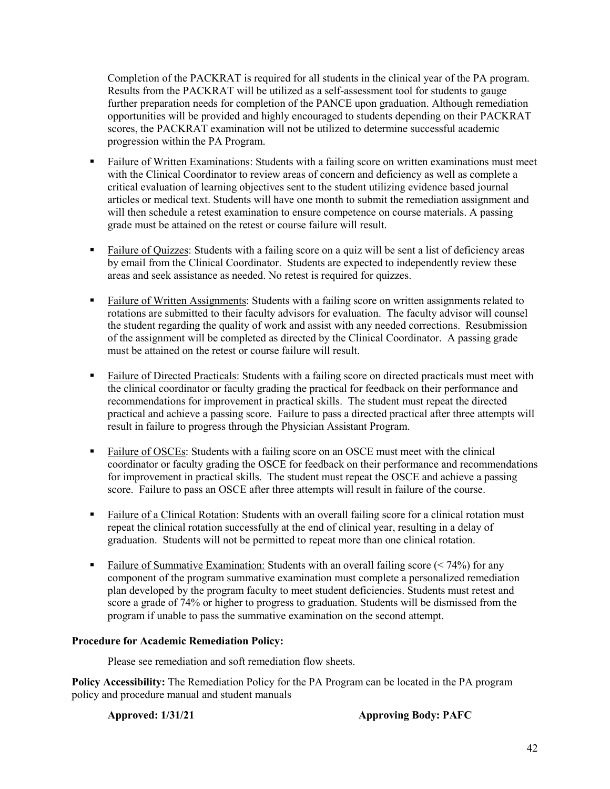Completion of the PACKRAT is required for all students in the clinical year of the PA program. Results from the PACKRAT will be utilized as a self-assessment tool for students to gauge further preparation needs for completion of the PANCE upon graduation. Although remediation opportunities will be provided and highly encouraged to students depending on their PACKRAT scores, the PACKRAT examination will not be utilized to determine successful academic progression within the PA Program.

- Failure of Written Examinations: Students with a failing score on written examinations must meet with the Clinical Coordinator to review areas of concern and deficiency as well as complete a critical evaluation of learning objectives sent to the student utilizing evidence based journal articles or medical text. Students will have one month to submit the remediation assignment and will then schedule a retest examination to ensure competence on course materials. A passing grade must be attained on the retest or course failure will result.
- Failure of Quizzes: Students with a failing score on a quiz will be sent a list of deficiency areas by email from the Clinical Coordinator. Students are expected to independently review these areas and seek assistance as needed. No retest is required for quizzes.
- **Failure of Written Assignments: Students with a failing score on written assignments related to** rotations are submitted to their faculty advisors for evaluation. The faculty advisor will counsel the student regarding the quality of work and assist with any needed corrections. Resubmission of the assignment will be completed as directed by the Clinical Coordinator. A passing grade must be attained on the retest or course failure will result.
- Failure of Directed Practicals: Students with a failing score on directed practicals must meet with the clinical coordinator or faculty grading the practical for feedback on their performance and recommendations for improvement in practical skills. The student must repeat the directed practical and achieve a passing score. Failure to pass a directed practical after three attempts will result in failure to progress through the Physician Assistant Program.
- Failure of OSCEs: Students with a failing score on an OSCE must meet with the clinical coordinator or faculty grading the OSCE for feedback on their performance and recommendations for improvement in practical skills. The student must repeat the OSCE and achieve a passing score. Failure to pass an OSCE after three attempts will result in failure of the course.
- Failure of a Clinical Rotation: Students with an overall failing score for a clinical rotation must repeat the clinical rotation successfully at the end of clinical year, resulting in a delay of graduation. Students will not be permitted to repeat more than one clinical rotation.
- Failure of Summative Examination: Students with an overall failing score  $( $74\%$ )$  for any component of the program summative examination must complete a personalized remediation plan developed by the program faculty to meet student deficiencies. Students must retest and score a grade of 74% or higher to progress to graduation. Students will be dismissed from the program if unable to pass the summative examination on the second attempt.

# **Procedure for Academic Remediation Policy:**

Please see remediation and soft remediation flow sheets.

**Policy Accessibility:** The Remediation Policy for the PA Program can be located in the PA program policy and procedure manual and student manuals

**Approved: 1/31/21 Approving Body: PAFC**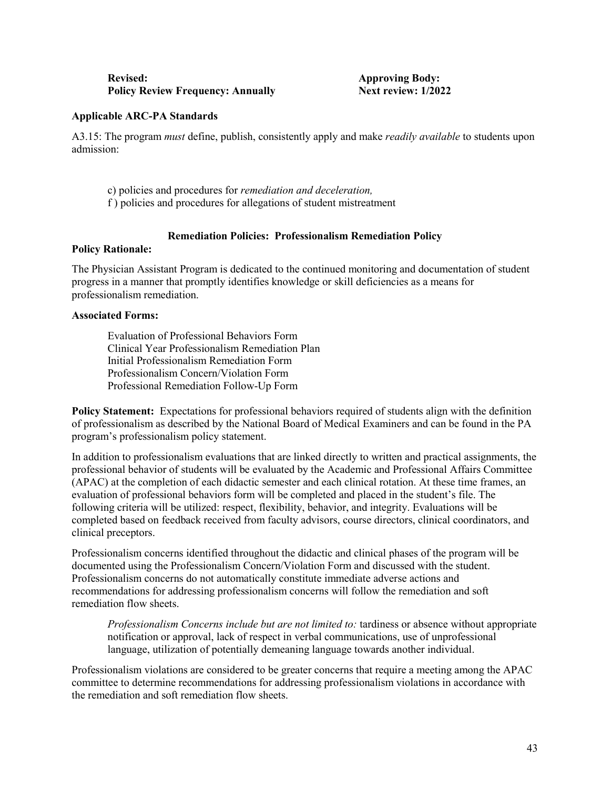| <b>Revised:</b>                          | <b>Approving Body:</b> |
|------------------------------------------|------------------------|
| <b>Policy Review Frequency: Annually</b> | Next review: 1/202     |

**Next review: 1/2022** 

#### **Applicable ARC-PA Standards**

A3.15: The program *must* define, publish, consistently apply and make *readily available* to students upon admission:

- c) policies and procedures for *remediation and deceleration,*
- f ) policies and procedures for allegations of student mistreatment

# **Remediation Policies: Professionalism Remediation Policy**

#### **Policy Rationale:**

The Physician Assistant Program is dedicated to the continued monitoring and documentation of student progress in a manner that promptly identifies knowledge or skill deficiencies as a means for professionalism remediation.

#### **Associated Forms:**

Evaluation of Professional Behaviors Form Clinical Year Professionalism Remediation Plan Initial Professionalism Remediation Form Professionalism Concern/Violation Form Professional Remediation Follow-Up Form

**Policy Statement:** Expectations for professional behaviors required of students align with the definition of professionalism as described by the National Board of Medical Examiners and can be found in the PA program's professionalism policy statement.

In addition to professionalism evaluations that are linked directly to written and practical assignments, the professional behavior of students will be evaluated by the Academic and Professional Affairs Committee (APAC) at the completion of each didactic semester and each clinical rotation. At these time frames, an evaluation of professional behaviors form will be completed and placed in the student's file. The following criteria will be utilized: respect, flexibility, behavior, and integrity. Evaluations will be completed based on feedback received from faculty advisors, course directors, clinical coordinators, and clinical preceptors.

Professionalism concerns identified throughout the didactic and clinical phases of the program will be documented using the Professionalism Concern/Violation Form and discussed with the student. Professionalism concerns do not automatically constitute immediate adverse actions and recommendations for addressing professionalism concerns will follow the remediation and soft remediation flow sheets.

*Professionalism Concerns include but are not limited to:* tardiness or absence without appropriate notification or approval, lack of respect in verbal communications, use of unprofessional language, utilization of potentially demeaning language towards another individual.

Professionalism violations are considered to be greater concerns that require a meeting among the APAC committee to determine recommendations for addressing professionalism violations in accordance with the remediation and soft remediation flow sheets.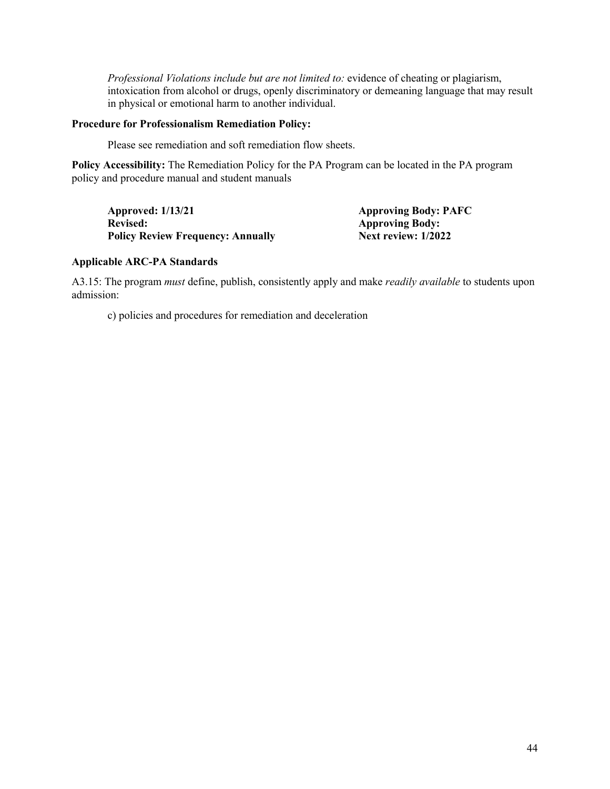*Professional Violations include but are not limited to:* evidence of cheating or plagiarism, intoxication from alcohol or drugs, openly discriminatory or demeaning language that may result in physical or emotional harm to another individual.

#### **Procedure for Professionalism Remediation Policy:**

Please see remediation and soft remediation flow sheets.

**Policy Accessibility:** The Remediation Policy for the PA Program can be located in the PA program policy and procedure manual and student manuals

**Approved: 1/13/21 Approving Body: PAFC Revised: Approving Body: Approving Body: Policy Review Frequency: Annually Next review: 1/2022 Policy Review Frequency: Annually** 

#### **Applicable ARC-PA Standards**

A3.15: The program *must* define, publish, consistently apply and make *readily available* to students upon admission:

c) policies and procedures for remediation and deceleration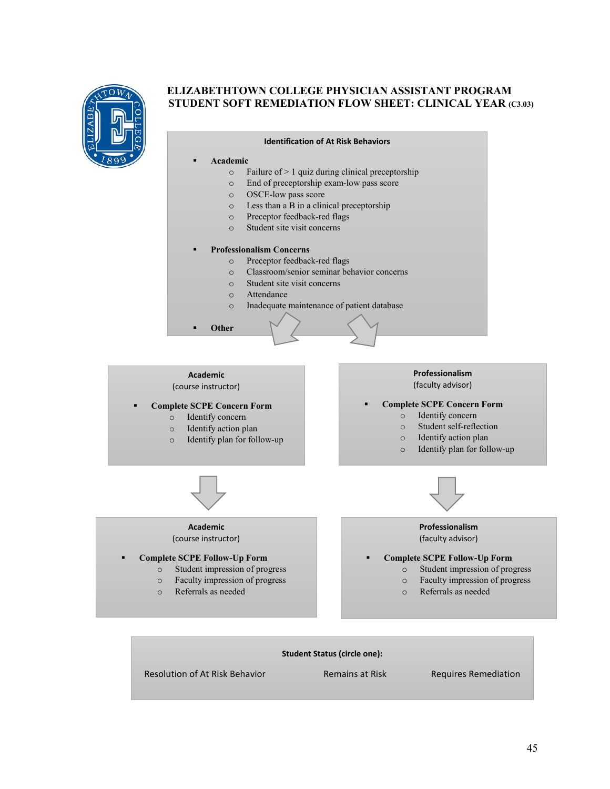

# **ELIZABETHTOWN COLLEGE PHYSICIAN ASSISTANT PROGRAM STUDENT SOFT REMEDIATION FLOW SHEET: CLINICAL YEAR (C3.03)**

| Academic<br>▪ |                                                     |
|---------------|-----------------------------------------------------|
| $\Omega$      | Failure of $> 1$ quiz during clinical preceptorship |
| $\Omega$      | End of preceptorship exam-low pass score            |
| $\Omega$      | OSCE-low pass score                                 |
| $\Omega$      | Less than a B in a clinical preceptorship           |
| $\Omega$      | Preceptor feedback-red flags                        |
| $\Omega$      | Student site visit concerns                         |
|               |                                                     |
| ■             | <b>Professionalism Concerns</b>                     |
| $\Omega$      | Preceptor feedback-red flags                        |
| $\Omega$      | Classroom/senior seminar behavior concerns          |
| $\Omega$      | Student site visit concerns                         |
| $\Omega$      | Attendance                                          |
| $\Omega$      | Inadequate maintenance of patient database          |
| Other         |                                                     |
|               |                                                     |

**Identification of At Risk Behaviors**

#### **Academic** (course instructor)

# **Complete SCPE Concern Form**

- o Identify concern<br>
o Identify action pl
- o Identify action plan
- Identify plan for follow-up

#### **Professionalism**  (faculty advisor)

#### **Complete SCPE Concern Form**

- o Identify concern
- Student self-reflection
- o Identify action plan
- o Identify plan for follow-up



#### **Academic** (course instructor)

- **Complete SCPE Follow-Up Form**
	- o Student impression of progress
		- o Faculty impression of progress
		- o Referrals as needed



#### **Professionalism**  (faculty advisor)

# **Complete SCPE Follow-Up Form**

- o Student impression of progress
- o Faculty impression of progress
- o Referrals as needed

#### **Student Status (circle one):**

Resolution of At Risk Behavior Remains at Risk Requires Remediation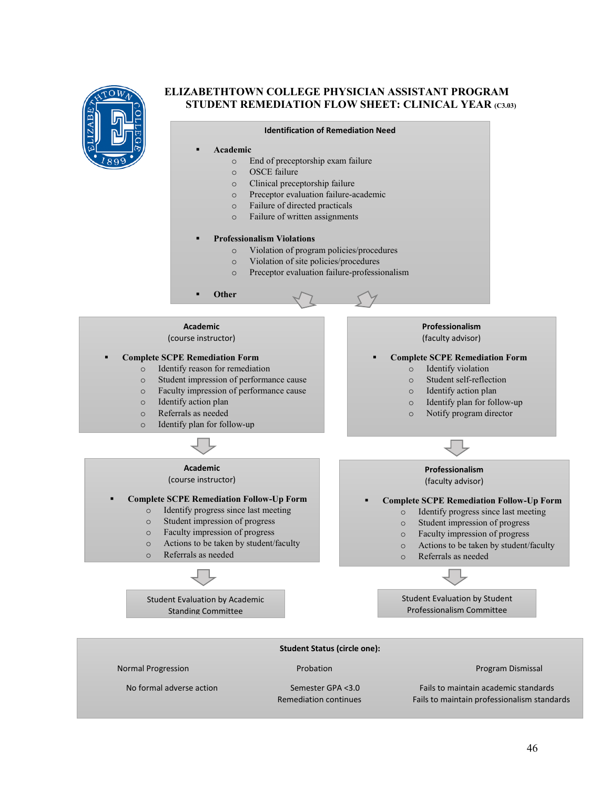

# **ELIZABETHTOWN COLLEGE PHYSICIAN ASSISTANT PROGRAM STUDENT REMEDIATION FLOW SHEET: CLINICAL YEAR (C3.03)**



Remediation continues Fails to maintain professionalism standards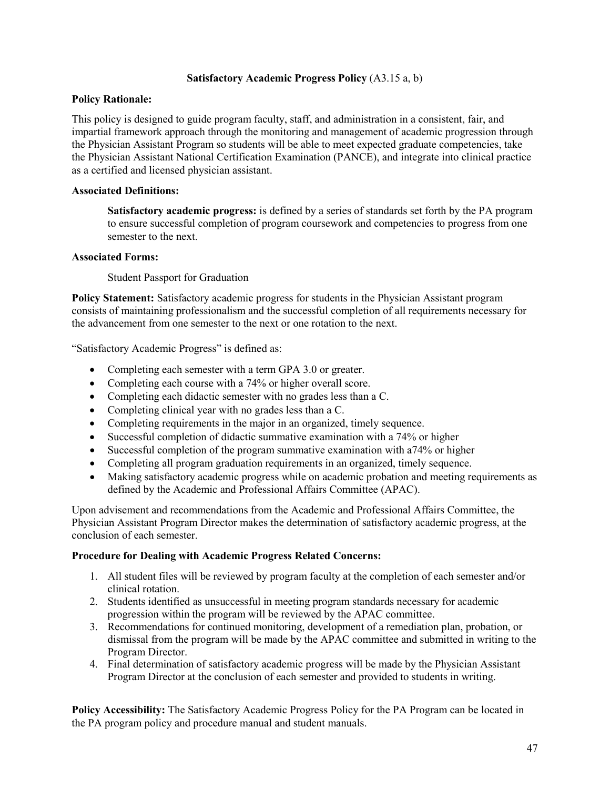# **Satisfactory Academic Progress Policy** (A3.15 a, b)

# **Policy Rationale:**

This policy is designed to guide program faculty, staff, and administration in a consistent, fair, and impartial framework approach through the monitoring and management of academic progression through the Physician Assistant Program so students will be able to meet expected graduate competencies, take the Physician Assistant National Certification Examination (PANCE), and integrate into clinical practice as a certified and licensed physician assistant.

# **Associated Definitions:**

**Satisfactory academic progress:** is defined by a series of standards set forth by the PA program to ensure successful completion of program coursework and competencies to progress from one semester to the next.

# **Associated Forms:**

Student Passport for Graduation

**Policy Statement:** Satisfactory academic progress for students in the Physician Assistant program consists of maintaining professionalism and the successful completion of all requirements necessary for the advancement from one semester to the next or one rotation to the next.

"Satisfactory Academic Progress" is defined as:

- Completing each semester with a term GPA 3.0 or greater.
- Completing each course with a 74% or higher overall score.
- Completing each didactic semester with no grades less than a C.
- Completing clinical year with no grades less than a C.
- Completing requirements in the major in an organized, timely sequence.
- Successful completion of didactic summative examination with a 74% or higher
- Successful completion of the program summative examination with a 74% or higher
- Completing all program graduation requirements in an organized, timely sequence.
- Making satisfactory academic progress while on academic probation and meeting requirements as defined by the Academic and Professional Affairs Committee (APAC).

Upon advisement and recommendations from the Academic and Professional Affairs Committee, the Physician Assistant Program Director makes the determination of satisfactory academic progress, at the conclusion of each semester.

# **Procedure for Dealing with Academic Progress Related Concerns:**

- 1. All student files will be reviewed by program faculty at the completion of each semester and/or clinical rotation.
- 2. Students identified as unsuccessful in meeting program standards necessary for academic progression within the program will be reviewed by the APAC committee.
- 3. Recommendations for continued monitoring, development of a remediation plan, probation, or dismissal from the program will be made by the APAC committee and submitted in writing to the Program Director.
- 4. Final determination of satisfactory academic progress will be made by the Physician Assistant Program Director at the conclusion of each semester and provided to students in writing.

**Policy Accessibility:** The Satisfactory Academic Progress Policy for the PA Program can be located in the PA program policy and procedure manual and student manuals.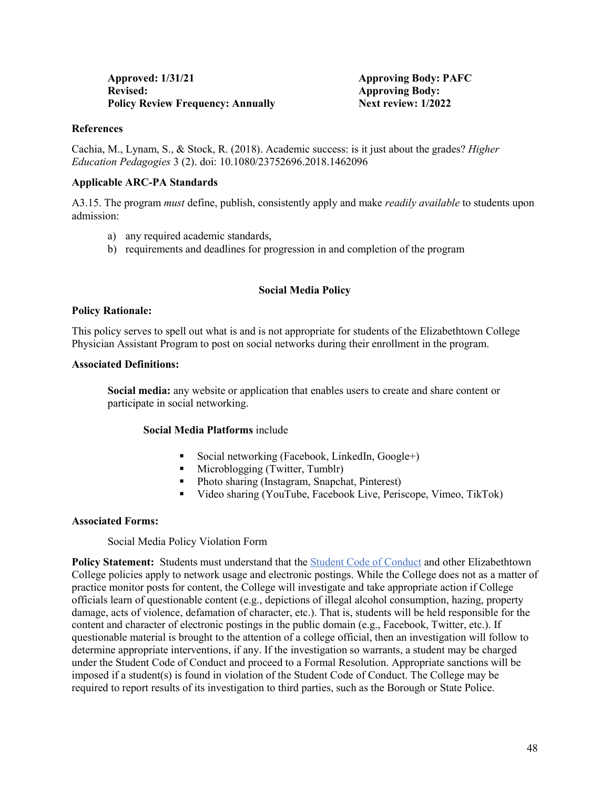| <b>Approved: 1/31/21</b>                 |  |
|------------------------------------------|--|
| <b>Revised:</b>                          |  |
| <b>Policy Review Frequency: Annually</b> |  |

Approving Body: PAFC **Approving Body: Policy Review: 1/2022** 

#### **References**

Cachia, M., Lynam, S., & Stock, R. (2018). Academic success: is it just about the grades? *Higher Education Pedagogies* 3 (2). doi: 10.1080/23752696.2018.1462096

# **Applicable ARC-PA Standards**

A3.15. The program *must* define, publish, consistently apply and make *readily available* to students upon admission:

- a) any required academic standards,
- b) requirements and deadlines for progression in and completion of the program

# **Social Media Policy**

#### **Policy Rationale:**

This policy serves to spell out what is and is not appropriate for students of the Elizabethtown College Physician Assistant Program to post on social networks during their enrollment in the program.

#### **Associated Definitions:**

**Social media:** any website or application that enables users to create and share content or participate in social networking.

#### **Social Media Platforms** include

- Social networking (Facebook, LinkedIn, Google+)
- Microblogging (Twitter, Tumblr)
- Photo sharing (Instagram, Snapchat, Pinterest)
- Video sharing (YouTube, Facebook Live, Periscope, Vimeo, TikTok)

# **Associated Forms:**

# Social Media Policy Violation Form

**Policy Statement:** Students must understand that the [Student Code of Conduct](https://catalog.etown.edu/content.php?catoid=22&navoid=1086) and other Elizabethtown College policies apply to network usage and electronic postings. While the College does not as a matter of practice monitor posts for content, the College will investigate and take appropriate action if College officials learn of questionable content (e.g., depictions of illegal alcohol consumption, hazing, property damage, acts of violence, defamation of character, etc.). That is, students will be held responsible for the content and character of electronic postings in the public domain (e.g., Facebook, Twitter, etc.). If questionable material is brought to the attention of a college official, then an investigation will follow to determine appropriate interventions, if any. If the investigation so warrants, a student may be charged under the Student Code of Conduct and proceed to a Formal Resolution. Appropriate sanctions will be imposed if a student(s) is found in violation of the Student Code of Conduct. The College may be required to report results of its investigation to third parties, such as the Borough or State Police.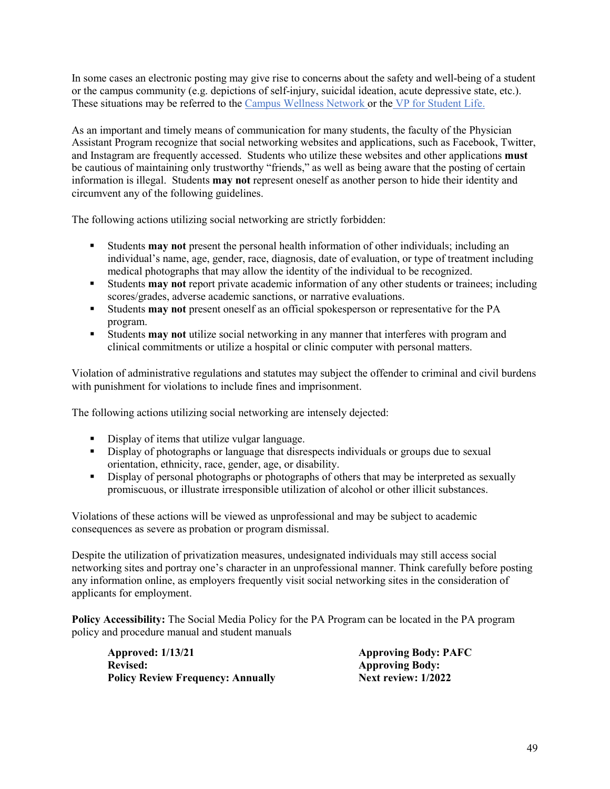In some cases an electronic posting may give rise to concerns about the safety and well-being of a student or the campus community (e.g. depictions of self-injury, suicidal ideation, acute depressive state, etc.). These situations may be referred to the [Campus Wellness Network](https://www.etown.edu/offices/student-success/campus-wellness-network.aspx) or the [VP for Student Life.](https://www.etown.edu/offices/vp-student-life/about.aspx)

As an important and timely means of communication for many students, the faculty of the Physician Assistant Program recognize that social networking websites and applications, such as Facebook, Twitter, and Instagram are frequently accessed. Students who utilize these websites and other applications **must** be cautious of maintaining only trustworthy "friends," as well as being aware that the posting of certain information is illegal. Students **may not** represent oneself as another person to hide their identity and circumvent any of the following guidelines.

The following actions utilizing social networking are strictly forbidden:

- Students **may not** present the personal health information of other individuals; including an individual's name, age, gender, race, diagnosis, date of evaluation, or type of treatment including medical photographs that may allow the identity of the individual to be recognized.
- Students **may not** report private academic information of any other students or trainees; including scores/grades, adverse academic sanctions, or narrative evaluations.
- Students **may not** present oneself as an official spokesperson or representative for the PA program.
- Students **may not** utilize social networking in any manner that interferes with program and clinical commitments or utilize a hospital or clinic computer with personal matters.

Violation of administrative regulations and statutes may subject the offender to criminal and civil burdens with punishment for violations to include fines and imprisonment.

The following actions utilizing social networking are intensely dejected:

- Display of items that utilize vulgar language.
- Display of photographs or language that disrespects individuals or groups due to sexual orientation, ethnicity, race, gender, age, or disability.
- Display of personal photographs or photographs of others that may be interpreted as sexually promiscuous, or illustrate irresponsible utilization of alcohol or other illicit substances.

Violations of these actions will be viewed as unprofessional and may be subject to academic consequences as severe as probation or program dismissal.

Despite the utilization of privatization measures, undesignated individuals may still access social networking sites and portray one's character in an unprofessional manner. Think carefully before posting any information online, as employers frequently visit social networking sites in the consideration of applicants for employment.

**Policy Accessibility:** The Social Media Policy for the PA Program can be located in the PA program policy and procedure manual and student manuals

Approved: 1/13/21 **Approving Body: PAFC**<br>
Revised: **Approving Body: PAFC Policy Review Frequency: Annually Next review: 1/2022** 

**Revised: Approving Body:**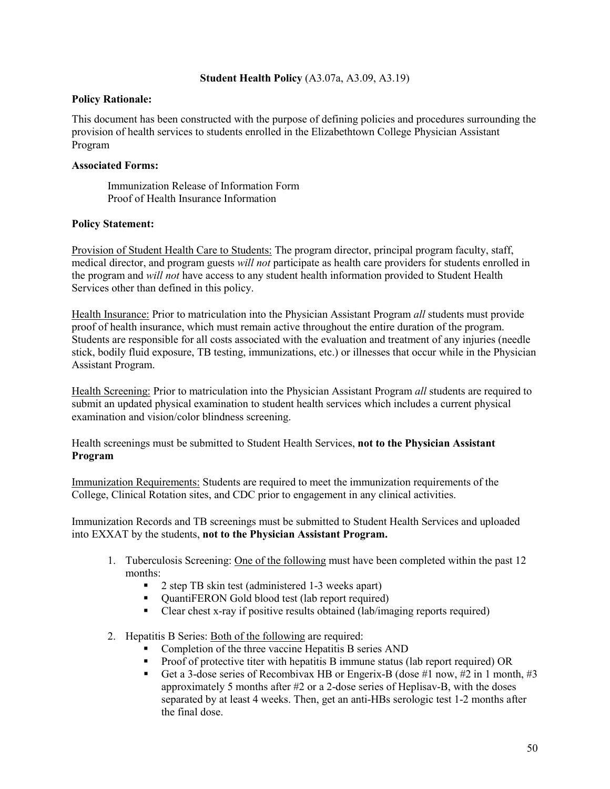# **Student Health Policy** (A3.07a, A3.09, A3.19)

#### **Policy Rationale:**

This document has been constructed with the purpose of defining policies and procedures surrounding the provision of health services to students enrolled in the Elizabethtown College Physician Assistant Program

# **Associated Forms:**

Immunization Release of Information Form Proof of Health Insurance Information

#### **Policy Statement:**

Provision of Student Health Care to Students: The program director, principal program faculty, staff, medical director, and program guests *will not* participate as health care providers for students enrolled in the program and *will not* have access to any student health information provided to Student Health Services other than defined in this policy.

Health Insurance: Prior to matriculation into the Physician Assistant Program *all* students must provide proof of health insurance, which must remain active throughout the entire duration of the program. Students are responsible for all costs associated with the evaluation and treatment of any injuries (needle stick, bodily fluid exposure, TB testing, immunizations, etc.) or illnesses that occur while in the Physician Assistant Program.

Health Screening: Prior to matriculation into the Physician Assistant Program *all* students are required to submit an updated physical examination to student health services which includes a current physical examination and vision/color blindness screening.

Health screenings must be submitted to Student Health Services, **not to the Physician Assistant Program**

Immunization Requirements: Students are required to meet the immunization requirements of the College, Clinical Rotation sites, and CDC prior to engagement in any clinical activities.

Immunization Records and TB screenings must be submitted to Student Health Services and uploaded into EXXAT by the students, **not to the Physician Assistant Program.**

- 1. Tuberculosis Screening: One of the following must have been completed within the past 12 months:
	- 2 step TB skin test (administered 1-3 weeks apart)
	- QuantiFERON Gold blood test (lab report required)
	- Clear chest x-ray if positive results obtained (lab/imaging reports required)
- 2. Hepatitis B Series: Both of the following are required:
	- Completion of the three vaccine Hepatitis B series AND
	- Proof of protective titer with hepatitis B immune status (lab report required) OR
	- Get a 3-dose series of Recombivax HB or Engerix-B (dose #1 now, #2 in 1 month, #3 approximately 5 months after #2 or a 2-dose series of Heplisav-B, with the doses separated by at least 4 weeks. Then, get an anti-HBs serologic test 1-2 months after the final dose.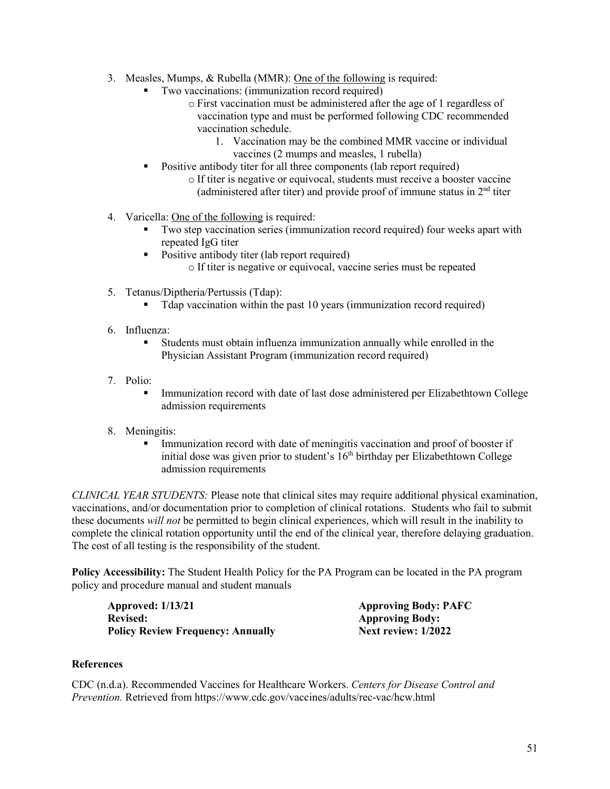- 3. Measles, Mumps, & Rubella (MMR): One of the following is required:
	- Two vaccinations: (immunization record required)
		- o First vaccination must be administered after the age of 1 regardless of vaccination type and must be performed following CDC recommended vaccination schedule.
			- 1. Vaccination may be the combined MMR vaccine or individual vaccines (2 mumps and measles, 1 rubella)
	- Positive antibody titer for all three components (lab report required)
		- o If titer is negative or equivocal, students must receive a booster vaccine (administered after titer) and provide proof of immune status in  $2<sup>nd</sup>$  titer
- 4. Varicella: One of the following is required:
	- Two step vaccination series (immunization record required) four weeks apart with repeated IgG titer
	- Positive antibody titer (lab report required) o If titer is negative or equivocal, vaccine series must be repeated
- 5. Tetanus/Diptheria/Pertussis (Tdap):
	- Tdap vaccination within the past 10 years (immunization record required)
- 6. Influenza:
	- Students must obtain influenza immunization annually while enrolled in the Physician Assistant Program (immunization record required)
- 7. Polio:
	- Immunization record with date of last dose administered per Elizabethtown College admission requirements
- 8. Meningitis:
	- Immunization record with date of meningitis vaccination and proof of booster if initial dose was given prior to student's  $16<sup>th</sup>$  birthday per Elizabethtown College admission requirements

*CLINICAL YEAR STUDENTS:* Please note that clinical sites may require additional physical examination, vaccinations, and/or documentation prior to completion of clinical rotations. Students who fail to submit these documents *will not* be permitted to begin clinical experiences, which will result in the inability to complete the clinical rotation opportunity until the end of the clinical year, therefore delaying graduation. The cost of all testing is the responsibility of the student.

**Policy Accessibility:** The Student Health Policy for the PA Program can be located in the PA program policy and procedure manual and student manuals

**Approved: 1/13/21 Approving Body: PAFC Revised:** Approving Body:<br> **Policy Review Frequency: Annually Mext review: 1/2022 Policy Review Frequency: Annually** 

# **References**

CDC (n.d.a). Recommended Vaccines for Healthcare Workers. *Centers for Disease Control and Prevention.* Retrieved from https://www.cdc.gov/vaccines/adults/rec-vac/hcw.html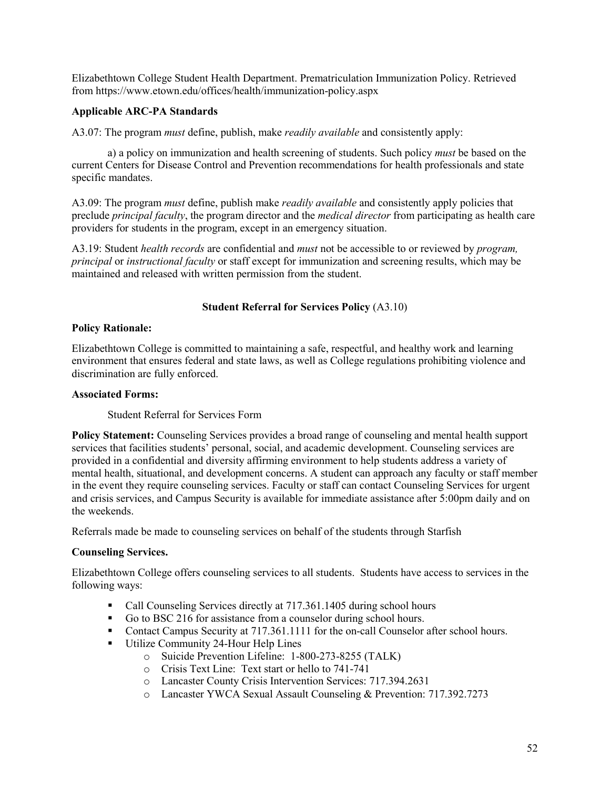Elizabethtown College Student Health Department. Prematriculation Immunization Policy. Retrieved from https://www.etown.edu/offices/health/immunization-policy.aspx

# **Applicable ARC-PA Standards**

A3.07: The program *must* define, publish, make *readily available* and consistently apply:

a) a policy on immunization and health screening of students. Such policy *must* be based on the current Centers for Disease Control and Prevention recommendations for health professionals and state specific mandates.

A3.09: The program *must* define, publish make *readily available* and consistently apply policies that preclude *principal faculty*, the program director and the *medical director* from participating as health care providers for students in the program, except in an emergency situation.

A3.19: Student *health records* are confidential and *must* not be accessible to or reviewed by *program, principal* or *instructional faculty* or staff except for immunization and screening results, which may be maintained and released with written permission from the student.

# **Student Referral for Services Policy** (A3.10)

#### **Policy Rationale:**

Elizabethtown College is committed to maintaining a safe, respectful, and healthy work and learning environment that ensures federal and state laws, as well as College regulations prohibiting violence and discrimination are fully enforced.

# **Associated Forms:**

Student Referral for Services Form

**Policy Statement:** Counseling Services provides a broad range of counseling and mental health support services that facilities students' personal, social, and academic development. Counseling services are provided in a confidential and diversity affirming environment to help students address a variety of mental health, situational, and development concerns. A student can approach any faculty or staff member in the event they require counseling services. Faculty or staff can contact Counseling Services for urgent and crisis services, and Campus Security is available for immediate assistance after 5:00pm daily and on the weekends.

Referrals made be made to counseling services on behalf of the students through Starfish

# **Counseling Services.**

Elizabethtown College offers counseling services to all students. Students have access to services in the following ways:

- Call Counseling Services directly at 717.361.1405 during school hours
- Go to BSC 216 for assistance from a counselor during school hours.
- Contact Campus Security at 717.361.1111 for the on-call Counselor after school hours.
- Utilize Community 24-Hour Help Lines
	- o Suicide Prevention Lifeline: 1-800-273-8255 (TALK)
	- o Crisis Text Line: Text start or hello to 741-741
	- o Lancaster County Crisis Intervention Services: 717.394.2631
	- o Lancaster YWCA Sexual Assault Counseling & Prevention: 717.392.7273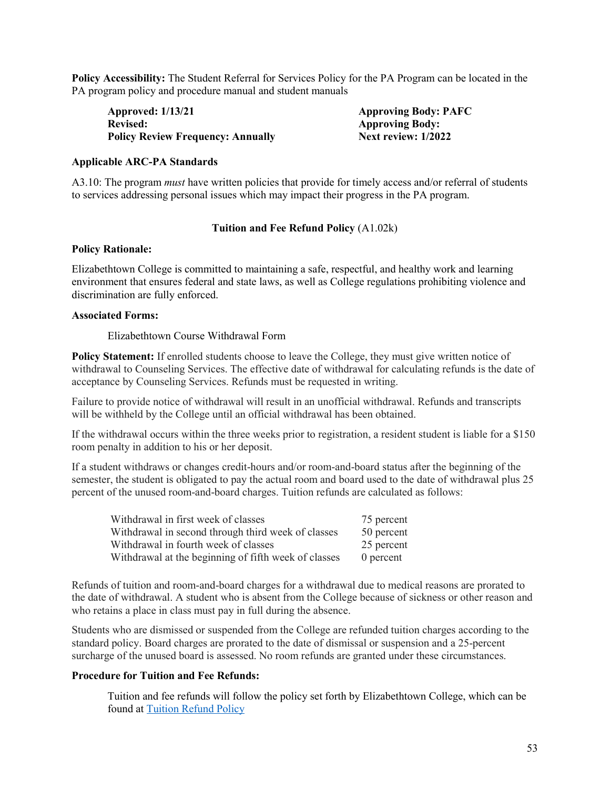**Policy Accessibility:** The Student Referral for Services Policy for the PA Program can be located in the PA program policy and procedure manual and student manuals

**Approved: 1/13/21 Approving Body: PAFC Revised:** Approving Body:<br> **Policy Review Frequency: Annually Mext review: 1/2022 Policy Review Frequency: Annually** 

#### **Applicable ARC-PA Standards**

A3.10: The program *must* have written policies that provide for timely access and/or referral of students to services addressing personal issues which may impact their progress in the PA program.

#### **Tuition and Fee Refund Policy** (A1.02k)

#### **Policy Rationale:**

Elizabethtown College is committed to maintaining a safe, respectful, and healthy work and learning environment that ensures federal and state laws, as well as College regulations prohibiting violence and discrimination are fully enforced.

#### **Associated Forms:**

#### Elizabethtown Course Withdrawal Form

**Policy Statement:** If enrolled students choose to leave the College, they must give written notice of withdrawal to Counseling Services. The effective date of withdrawal for calculating refunds is the date of acceptance by Counseling Services. Refunds must be requested in writing.

Failure to provide notice of withdrawal will result in an unofficial withdrawal. Refunds and transcripts will be withheld by the College until an official withdrawal has been obtained.

If the withdrawal occurs within the three weeks prior to registration, a resident student is liable for a \$150 room penalty in addition to his or her deposit.

If a student withdraws or changes credit-hours and/or room-and-board status after the beginning of the semester, the student is obligated to pay the actual room and board used to the date of withdrawal plus 25 percent of the unused room-and-board charges. Tuition refunds are calculated as follows:

| Withdrawal in first week of classes                  | 75 percent |
|------------------------------------------------------|------------|
| Withdrawal in second through third week of classes   | 50 percent |
| Withdrawal in fourth week of classes                 | 25 percent |
| Withdrawal at the beginning of fifth week of classes | 0 percent  |

Refunds of tuition and room-and-board charges for a withdrawal due to medical reasons are prorated to the date of withdrawal. A student who is absent from the College because of sickness or other reason and who retains a place in class must pay in full during the absence.

Students who are dismissed or suspended from the College are refunded tuition charges according to the standard policy. Board charges are prorated to the date of dismissal or suspension and a 25-percent surcharge of the unused board is assessed. No room refunds are granted under these circumstances.

#### **Procedure for Tuition and Fee Refunds:**

Tuition and fee refunds will follow the policy set forth by Elizabethtown College, which can be found at [Tuition Refund Policy](https://catalog.etown.edu/content.php?catoid=12&navoid=612)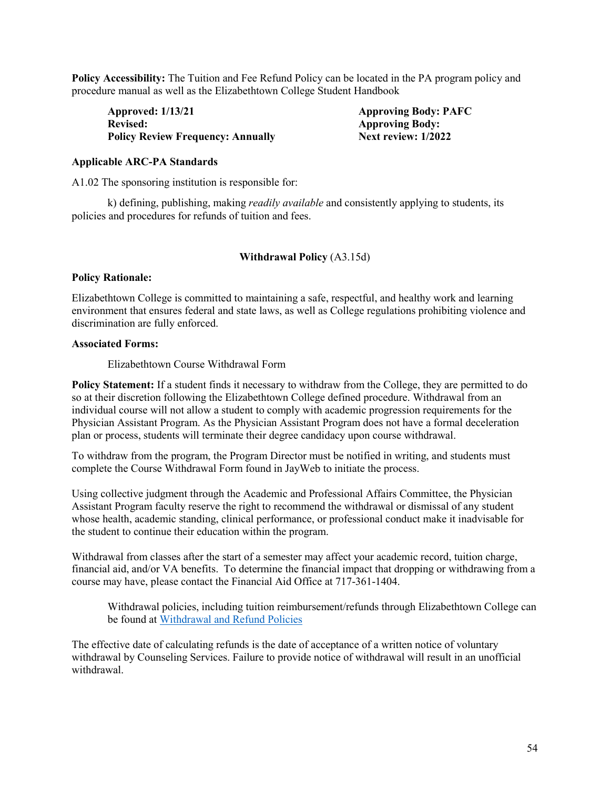**Policy Accessibility:** The Tuition and Fee Refund Policy can be located in the PA program policy and procedure manual as well as the Elizabethtown College Student Handbook

**Approved: 1/13/21 Approving Body: PAFC Revised:** Approving Body:<br> **Policy Review Frequency: Annually Mext review: 1/2022 Policy Review Frequency: Annually** 

# **Applicable ARC-PA Standards**

A1.02 The sponsoring institution is responsible for:

k) defining, publishing, making *readily available* and consistently applying to students, its policies and procedures for refunds of tuition and fees.

# **Withdrawal Policy** (A3.15d)

#### **Policy Rationale:**

Elizabethtown College is committed to maintaining a safe, respectful, and healthy work and learning environment that ensures federal and state laws, as well as College regulations prohibiting violence and discrimination are fully enforced.

#### **Associated Forms:**

Elizabethtown Course Withdrawal Form

**Policy Statement:** If a student finds it necessary to withdraw from the College, they are permitted to do so at their discretion following the Elizabethtown College defined procedure. Withdrawal from an individual course will not allow a student to comply with academic progression requirements for the Physician Assistant Program. As the Physician Assistant Program does not have a formal deceleration plan or process, students will terminate their degree candidacy upon course withdrawal.

To withdraw from the program, the Program Director must be notified in writing, and students must complete the Course Withdrawal Form found in JayWeb to initiate the process.

Using collective judgment through the Academic and Professional Affairs Committee, the Physician Assistant Program faculty reserve the right to recommend the withdrawal or dismissal of any student whose health, academic standing, clinical performance, or professional conduct make it inadvisable for the student to continue their education within the program.

Withdrawal from classes after the start of a semester may affect your academic record, tuition charge, financial aid, and/or VA benefits. To determine the financial impact that dropping or withdrawing from a course may have, please contact the Financial Aid Office at 717-361-1404.

Withdrawal policies, including tuition reimbursement/refunds through Elizabethtown College can be found at Withdrawal and Refund Policies

The effective date of calculating refunds is the date of acceptance of a written notice of voluntary withdrawal by Counseling Services. Failure to provide notice of withdrawal will result in an unofficial withdrawal.